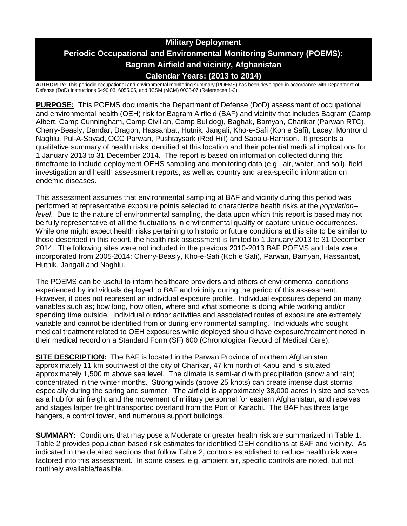# **Military Deployment Periodic Occupational and Environmental Monitoring Summary (POEMS): Bagram Airfield and vicinity, Afghanistan Calendar Years: (2013 to 2014)**

**AUTHORITY:** This periodic occupational and environmental monitoring summary (POEMS) has been developed in accordance with Department of Defense (DoD) Instructions 6490.03, 6055.05, and JCSM (MCM) 0028-07 (References 1-3).

**PURPOSE:** This POEMS documents the Department of Defense (DoD) assessment of occupational and environmental health (OEH) risk for Bagram Airfield (BAF) and vicinity that includes Bagram (Camp Albert, Camp Cunningham, Camp Civilian, Camp Bulldog), Baghak, Bamyan, Charikar (Parwan RTC), Cherry-Beasly, Dandar, Dragon, Hassanbat, Hutnik, Jangali, Kho-e-Safi (Koh e Safi), Lacey, Montrond, Naghlu, Pul-A-Sayad, OCC Parwan, Pushtaysark (Red Hill) and Sabalu-Harrison. It presents a qualitative summary of health risks identified at this location and their potential medical implications for 1 January 2013 to 31 December 2014. The report is based on information collected during this timeframe to include deployment OEHS sampling and monitoring data (e.g., air, water, and soil), field investigation and health assessment reports, as well as country and area-specific information on endemic diseases.

This assessment assumes that environmental sampling at BAF and vicinity during this period was performed at representative exposure points selected to characterize health risks at the *population– level*. Due to the nature of environmental sampling, the data upon which this report is based may not be fully representative of all the fluctuations in environmental quality or capture unique occurrences. While one might expect health risks pertaining to historic or future conditions at this site to be similar to those described in this report, the health risk assessment is limited to 1 January 2013 to 31 December 2014. The following sites were not included in the previous 2010-2013 BAF POEMS and data were incorporated from 2005-2014: Cherry-Beasly, Kho-e-Safi (Koh e Safi), Parwan, Bamyan, Hassanbat, Hutnik, Jangali and Naghlu.

The POEMS can be useful to inform healthcare providers and others of environmental conditions experienced by individuals deployed to BAF and vicinity during the period of this assessment. However, it does not represent an individual exposure profile. Individual exposures depend on many variables such as; how long, how often, where and what someone is doing while working and/or spending time outside. Individual outdoor activities and associated routes of exposure are extremely variable and cannot be identified from or during environmental sampling. Individuals who sought medical treatment related to OEH exposures while deployed should have exposure/treatment noted in their medical record on a Standard Form (SF) 600 (Chronological Record of Medical Care).

**SITE DESCRIPTION:** The BAF is located in the Parwan Province of northern Afghanistan approximately 11 km southwest of the city of Charikar, 47 km north of Kabul and is situated approximately 1,500 m above sea level. The climate is semi-arid with precipitation (snow and rain) concentrated in the winter months. Strong winds (above 25 knots) can create intense dust storms, especially during the spring and summer. The airfield is approximately 38,000 acres in size and serves as a hub for air freight and the movement of military personnel for eastern Afghanistan, and receives and stages larger freight transported overland from the Port of Karachi. The BAF has three large hangers, a control tower, and numerous support buildings.

**SUMMARY:** Conditions that may pose a Moderate or greater health risk are summarized in Table 1. Table 2 provides population based risk estimates for identified OEH conditions at BAF and vicinity. As indicated in the detailed sections that follow Table 2, controls established to reduce health risk were factored into this assessment. In some cases, e.g. ambient air, specific controls are noted, but not routinely available/feasible.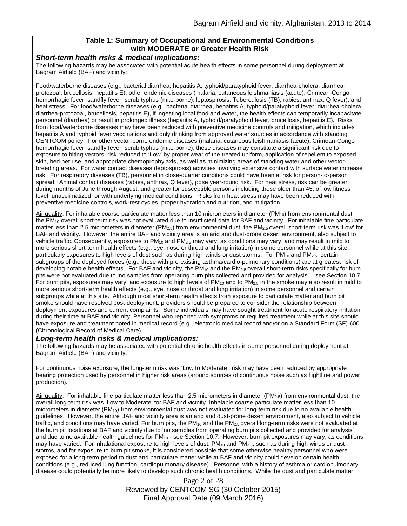### **Table 1: Summary of Occupational and Environmental Conditions with MODERATE or Greater Health Risk**

#### *Short-term health risks & medical implications:*

The following hazards may be associated with potential acute health effects in some personnel during deployment at Bagram Airfield (BAF) and vicinity:

Food/waterborne diseases (e.g., bacterial diarrhea, hepatitis A, typhoid/paratyphoid fever, diarrhea-cholera, diarrheaprotozoal, brucellosis, hepatitis E); other endemic diseases (malaria, cutaneous leishmaniasis (acute), Crimean-Congo hemorrhagic fever, sandfly fever, scrub typhus (mite-borne), leptospirosis, Tuberculosis (TB), rabies, anthrax, Q fever); and heat stress. For food/waterborne diseases (e.g., bacterial diarrhea, hepatitis A, typhoid/paratyphoid fever, diarrhea-cholera, diarrhea-protozoal, brucellosis, hepatitis E), if ingesting local food and water, the health effects can temporarily incapacitate personnel (diarrhea) or result in prolonged illness (hepatitis A, typhoid/paratyphoid fever, brucellosis, hepatitis E). Risks from food/waterborne diseases may have been reduced with preventive medicine controls and mitigation, which includes hepatitis A and typhoid fever vaccinations and only drinking from approved water sources in accordance with standing CENTCOM policy. For other vector-borne endemic diseases (malaria, cutaneous leishmaniasis (acute), Crimean-Congo hemorrhagic fever, sandfly fever, scrub typhus (mite-borne), these diseases may constitute a significant risk due to exposure to biting vectors; risk reduced to 'Low' by proper wear of the treated uniform, application of repellent to exposed skin, bed net use, and appropriate chemoprophylaxis, as well as minimizing areas of standing water and other vectorbreeding areas. For water contact diseases (leptospirosis) activities involving extensive contact with surface water increase risk. For respiratory diseases (TB), personnel in close-quarter conditions could have been at risk for person-to-person spread. Animal contact diseases (rabies, anthrax, Q fever), pose year-round risk. For heat stress, risk can be greater during months of June through August, and greater for susceptible persons including those older than 45, of low fitness level, unacclimatized, or with underlying medical conditions. Risks from heat stress may have been reduced with preventive medicine controls, work-rest cycles, proper hydration and nutrition, and mitigation.

Air quality: For inhalable coarse particulate matter less than 10 micrometers in diameter ( $PM_{10}$ ) from environmental dust, the PM<sub>10</sub> overall short-term risk was not evaluated due to insufficient data for BAF and vicinity. For inhalable fine particulate matter less than 2.5 micrometers in diameter (PM<sub>2.5</sub>) from environmental dust, the PM<sub>2.5</sub> overall short-term risk was 'Low' for BAF and vicinity. However, the entire BAF and vicinity area is an arid and dust-prone desert environment, also subject to vehicle traffic. Consequently, exposures to PM<sub>10</sub> and PM<sub>2.5</sub> may vary, as conditions may vary, and may result in mild to more serious short-term health effects (e.g., eye, nose or throat and lung irritation) in some personnel while at this site, particularly exposures to high levels of dust such as during high winds or dust storms. For PM<sub>10</sub> and PM<sub>2.5</sub>, certain subgroups of the deployed forces (e.g., those with pre-existing asthma/cardio-pulmonary conditions) are at greatest risk of developing notable health effects. For BAF and vicinity, the  $PM_{10}$  and the  $PM_{2.5}$  overall short-term risks specifically for burn pits were not evaluated due to 'no samples from operating burn pits collected and provided for analysis' – see Section 10.7. For burn pits, exposures may vary, and exposure to high levels of  $PM_{10}$  and to  $PM_{2.5}$  in the smoke may also result in mild to more serious short-term health effects (e.g., eye, nose or throat and lung irritation) in some personnel and certain subgroups while at this site. Although most short-term health effects from exposure to particulate matter and burn pit smoke should have resolved post-deployment, providers should be prepared to consider the relationship between deployment exposures and current complaints. Some individuals may have sought treatment for acute respiratory irritation during their time at BAF and vicinity. Personnel who reported with symptoms or required treatment while at this site should have exposure and treatment noted in medical record (e.g., electronic medical record and/or on a Standard Form (SF) 600 (Chronological Record of Medical Care).

#### *Long-term health risks & medical implications:*

The following hazards may be associated with potential chronic health effects in some personnel during deployment at Bagram Airfield (BAF) and vicinity:

For continuous noise exposure, the long-term risk was 'Low to Moderate'; risk may have been reduced by appropriate hearing protection used by personnel in higher risk areas (around sources of continuous noise such as flightline and power production).

Air quality: For inhalable fine particulate matter less than 2.5 micrometers in diameter ( $PM_{2.5}$ ) from environmental dust, the overall long-term risk was 'Low to Moderate' for BAF and vicinity. Inhalable coarse particulate matter less than 10 micrometers in diameter (PM<sub>10</sub>) from environmental dust was not evaluated for long-term risk due to no available health guidelines. However, the entire BAF and vicinity area is an arid and dust-prone desert environment, also subject to vehicle traffic, and conditions may have varied. For burn pits, the  $PM_{10}$  and the  $PM_{2.5}$  overall long-term risks were not evaluated at the burn pit locations at BAF and vicinity due to 'no samples from operating burn pits collected and provided for analysis' and due to no available health guidelines for  $PM_{10}$  - see Section 10.7. However, burn pit exposures may vary, as conditions may have varied. For inhalational exposure to high levels of dust,  $PM_{10}$  and  $PM_{2.5}$ , such as during high winds or dust storms, and for exposure to burn pit smoke, it is considered possible that some otherwise healthy personnel who were exposed for a long-term period to dust and particulate matter while at BAF and vicinity could develop certain health conditions (e.g., reduced lung function, cardiopulmonary disease). Personnel with a history of asthma or cardiopulmonary disease could potentially be more likely to develop such chronic health conditions. While the dust and particulate matter

> Page 2 of 28 Reviewed by CENTCOM SG (30 October 2015) Final Approval Date (09 March 2016)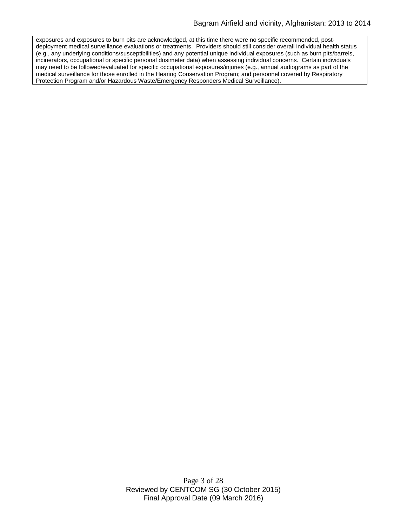exposures and exposures to burn pits are acknowledged, at this time there were no specific recommended, postdeployment medical surveillance evaluations or treatments. Providers should still consider overall individual health status (e.g., any underlying conditions/susceptibilities) and any potential unique individual exposures (such as burn pits/barrels, incinerators, occupational or specific personal dosimeter data) when assessing individual concerns. Certain individuals may need to be followed/evaluated for specific occupational exposures/injuries (e.g., annual audiograms as part of the medical surveillance for those enrolled in the Hearing Conservation Program; and personnel covered by Respiratory Protection Program and/or Hazardous Waste/Emergency Responders Medical Surveillance).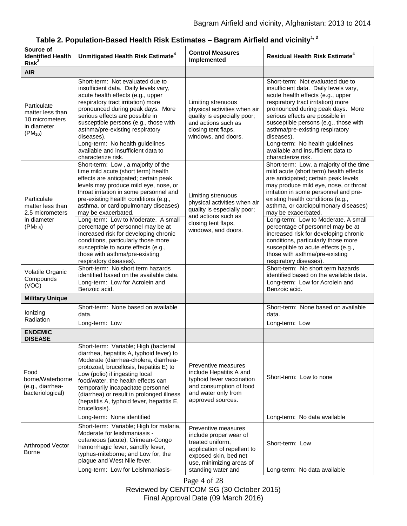| Source of<br><b>Identified Health</b><br>Risk <sup>3</sup>                        | Unmitigated Health Risk Estimate <sup>4</sup>                                                                                                                                                                                                                                                                                                                                                                                                                                                                                                                                                       | <b>Control Measures</b><br>Implemented                                                                                                                                      | <b>Residual Health Risk Estimate<sup>4</sup></b>                                                                                                                                                                                                                                                                                                                                                                                                                                                                                                                                                     |
|-----------------------------------------------------------------------------------|-----------------------------------------------------------------------------------------------------------------------------------------------------------------------------------------------------------------------------------------------------------------------------------------------------------------------------------------------------------------------------------------------------------------------------------------------------------------------------------------------------------------------------------------------------------------------------------------------------|-----------------------------------------------------------------------------------------------------------------------------------------------------------------------------|------------------------------------------------------------------------------------------------------------------------------------------------------------------------------------------------------------------------------------------------------------------------------------------------------------------------------------------------------------------------------------------------------------------------------------------------------------------------------------------------------------------------------------------------------------------------------------------------------|
| <b>AIR</b>                                                                        |                                                                                                                                                                                                                                                                                                                                                                                                                                                                                                                                                                                                     |                                                                                                                                                                             |                                                                                                                                                                                                                                                                                                                                                                                                                                                                                                                                                                                                      |
| Particulate<br>matter less than<br>10 micrometers<br>in diameter<br>$(PM_{10})$   | Short-term: Not evaluated due to<br>insufficient data. Daily levels vary,<br>acute health effects (e.g., upper<br>respiratory tract irritation) more<br>pronounced during peak days. More<br>serious effects are possible in<br>susceptible persons (e.g., those with<br>asthma/pre-existing respiratory<br>diseases).<br>Long-term: No health guidelines<br>available and insufficient data to                                                                                                                                                                                                     | Limiting strenuous<br>physical activities when air<br>quality is especially poor;<br>and actions such as<br>closing tent flaps,<br>windows, and doors.                      | Short-term: Not evaluated due to<br>insufficient data. Daily levels vary,<br>acute health effects (e.g., upper<br>respiratory tract irritation) more<br>pronounced during peak days. More<br>serious effects are possible in<br>susceptible persons (e.g., those with<br>asthma/pre-existing respiratory<br>diseases).<br>Long-term: No health guidelines<br>available and insufficient data to                                                                                                                                                                                                      |
| Particulate<br>matter less than<br>2.5 micrometers<br>in diameter<br>$(PM_{2.5})$ | characterize risk.<br>Short-term: Low, a majority of the<br>time mild acute (short term) health<br>effects are anticipated; certain peak<br>levels may produce mild eye, nose, or<br>throat irritation in some personnel and<br>pre-existing health conditions (e.g.,<br>asthma, or cardiopulmonary diseases)<br>may be exacerbated.<br>Long-term: Low to Moderate. A small<br>percentage of personnel may be at<br>increased risk for developing chronic<br>conditions, particularly those more<br>susceptible to acute effects (e.g.,<br>those with asthma/pre-existing<br>respiratory diseases). | Limiting strenuous<br>physical activities when air<br>quality is especially poor;<br>and actions such as<br>closing tent flaps,<br>windows, and doors.                      | characterize risk.<br>Short-term: Low, a majority of the time<br>mild acute (short term) health effects<br>are anticipated; certain peak levels<br>may produce mild eye, nose, or throat<br>irritation in some personnel and pre-<br>existing health conditions (e.g.,<br>asthma, or cardiopulmonary diseases)<br>may be exacerbated.<br>Long-term: Low to Moderate. A small<br>percentage of personnel may be at<br>increased risk for developing chronic<br>conditions, particularly those more<br>susceptible to acute effects (e.g.,<br>those with asthma/pre-existing<br>respiratory diseases). |
| Volatile Organic<br>Compounds<br>(VOC)                                            | Short-term: No short term hazards<br>identified based on the available data.<br>Long-term: Low for Acrolein and<br>Benzoic acid.                                                                                                                                                                                                                                                                                                                                                                                                                                                                    |                                                                                                                                                                             | Short-term: No short term hazards<br>identified based on the available data.<br>Long-term: Low for Acrolein and<br>Benzoic acid.                                                                                                                                                                                                                                                                                                                                                                                                                                                                     |
| <b>Military Unique</b>                                                            |                                                                                                                                                                                                                                                                                                                                                                                                                                                                                                                                                                                                     |                                                                                                                                                                             |                                                                                                                                                                                                                                                                                                                                                                                                                                                                                                                                                                                                      |
| lonizing                                                                          | Short-term: None based on available<br>data.                                                                                                                                                                                                                                                                                                                                                                                                                                                                                                                                                        |                                                                                                                                                                             | Short-term: None based on available<br>data.                                                                                                                                                                                                                                                                                                                                                                                                                                                                                                                                                         |
| Radiation                                                                         | Long-term: Low                                                                                                                                                                                                                                                                                                                                                                                                                                                                                                                                                                                      |                                                                                                                                                                             | Long-term: Low                                                                                                                                                                                                                                                                                                                                                                                                                                                                                                                                                                                       |
| <b>ENDEMIC</b><br><b>DISEASE</b>                                                  |                                                                                                                                                                                                                                                                                                                                                                                                                                                                                                                                                                                                     |                                                                                                                                                                             |                                                                                                                                                                                                                                                                                                                                                                                                                                                                                                                                                                                                      |
| Food<br>borne/Waterborne<br>(e.g., diarrhea-<br>bacteriological)                  | Short-term: Variable; High (bacterial<br>diarrhea, hepatitis A, typhoid fever) to<br>Moderate (diarrhea-cholera, diarrhea-<br>protozoal, brucellosis, hepatitis E) to<br>Low (polio) if ingesting local<br>food/water, the health effects can<br>temporarily incapacitate personnel<br>(diarrhea) or result in prolonged illness<br>(hepatitis A, typhoid fever, hepatitis E,<br>brucellosis).                                                                                                                                                                                                      | Preventive measures<br>include Hepatitis A and<br>typhoid fever vaccination<br>and consumption of food<br>and water only from<br>approved sources.                          | Short-term: Low to none                                                                                                                                                                                                                                                                                                                                                                                                                                                                                                                                                                              |
|                                                                                   | Long-term: None identified                                                                                                                                                                                                                                                                                                                                                                                                                                                                                                                                                                          |                                                                                                                                                                             | Long-term: No data available                                                                                                                                                                                                                                                                                                                                                                                                                                                                                                                                                                         |
| Arthropod Vector<br><b>Borne</b>                                                  | Short-term: Variable; High for malaria,<br>Moderate for leishmaniasis -<br>cutaneous (acute), Crimean-Congo<br>hemorrhagic fever, sandfly fever,<br>typhus-miteborne; and Low for, the<br>plague and West Nile fever.<br>Long-term: Low for Leishmaniasis-                                                                                                                                                                                                                                                                                                                                          | Preventive measures<br>include proper wear of<br>treated uniform,<br>application of repellent to<br>exposed skin, bed net<br>use, minimizing areas of<br>standing water and | Short-term: Low<br>Long-term: No data available                                                                                                                                                                                                                                                                                                                                                                                                                                                                                                                                                      |
|                                                                                   |                                                                                                                                                                                                                                                                                                                                                                                                                                                                                                                                                                                                     |                                                                                                                                                                             |                                                                                                                                                                                                                                                                                                                                                                                                                                                                                                                                                                                                      |

# Table 2. Population-Based Health Risk Estimates - Bagram Airfield and vicinity<sup>1, 2</sup>

Page 4 of 28

Reviewed by CENTCOM SG (30 October 2015)

Final Approval Date (09 March 2016)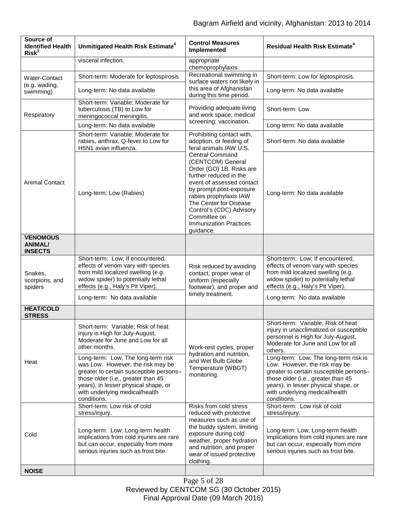| Source of<br><b>Identified Health</b><br>Risk <sup>3</sup> | Unmitigated Health Risk Estimate <sup>4</sup>                                                                                                                                                                                                     | <b>Control Measures</b><br>Implemented                                                                                                                                                                                                                                                                                                                                                    | <b>Residual Health Risk Estimate<sup>4</sup></b>                                                                                                                                                                                                 |
|------------------------------------------------------------|---------------------------------------------------------------------------------------------------------------------------------------------------------------------------------------------------------------------------------------------------|-------------------------------------------------------------------------------------------------------------------------------------------------------------------------------------------------------------------------------------------------------------------------------------------------------------------------------------------------------------------------------------------|--------------------------------------------------------------------------------------------------------------------------------------------------------------------------------------------------------------------------------------------------|
|                                                            | visceral infection.                                                                                                                                                                                                                               | appropriate<br>chemoprophylaxis.                                                                                                                                                                                                                                                                                                                                                          |                                                                                                                                                                                                                                                  |
| <b>Water-Contact</b><br>(e.g. wading,<br>swimming)         | Short-term: Moderate for leptospirosis                                                                                                                                                                                                            | Recreational swimming in                                                                                                                                                                                                                                                                                                                                                                  | Short-term: Low for leptospirosis.                                                                                                                                                                                                               |
|                                                            | Long-term: No data available                                                                                                                                                                                                                      | surface waters not likely in<br>this area of Afghanistan<br>during this time period.                                                                                                                                                                                                                                                                                                      | Long-term: No data available                                                                                                                                                                                                                     |
| Respiratory                                                | Short-term: Variable; Moderate for<br>tuberculosis (TB) to Low for<br>meningococcal meningitis.                                                                                                                                                   | Providing adequate living<br>and work space; medical<br>screening; vaccination.                                                                                                                                                                                                                                                                                                           | Short-term: Low                                                                                                                                                                                                                                  |
|                                                            | Long-term: No data available                                                                                                                                                                                                                      |                                                                                                                                                                                                                                                                                                                                                                                           | Long-term: No data available                                                                                                                                                                                                                     |
| <b>Animal Contact</b>                                      | Short-term: Variable; Moderate for<br>rabies, anthrax, Q-fever to Low for<br>H5N1 avian influenza.                                                                                                                                                | Prohibiting contact with,<br>adoption, or feeding of<br>feral animals IAW U.S.<br><b>Central Command</b><br>(CENTCOM) General<br>Order (GO) 1B. Risks are<br>further reduced in the<br>event of assessed contact<br>by prompt post-exposure<br>rabies prophylaxis IAW<br>The Center for Disease<br>Control's (CDC) Advisory<br>Committee on<br><b>Immunization Practices</b><br>guidance. | Short-term: No data available                                                                                                                                                                                                                    |
|                                                            | Long-term: Low (Rabies)                                                                                                                                                                                                                           |                                                                                                                                                                                                                                                                                                                                                                                           | Long-term: No data available                                                                                                                                                                                                                     |
| <b>VENOMOUS</b><br><b>ANIMAL/</b><br><b>INSECTS</b>        |                                                                                                                                                                                                                                                   |                                                                                                                                                                                                                                                                                                                                                                                           |                                                                                                                                                                                                                                                  |
| Snakes,<br>scorpions, and<br>spiders                       | Short-term: Low; If encountered,<br>effects of venom vary with species<br>from mild localized swelling (e.g.<br>widow spider) to potentially lethal<br>effects (e.g., Haly's Pit Viper).                                                          | Risk reduced by avoiding<br>contact, proper wear of<br>uniform (especially<br>footwear), and proper and<br>timely treatment.                                                                                                                                                                                                                                                              | Short-term: Low; If encountered,<br>effects of venom vary with species<br>from mild localized swelling (e.g.<br>widow spider) to potentially lethal<br>effects (e.g., Haly's Pit Viper).                                                         |
|                                                            | Long-term: No data available                                                                                                                                                                                                                      |                                                                                                                                                                                                                                                                                                                                                                                           | Long-term: No data available                                                                                                                                                                                                                     |
| <b>HEAT/COLD</b><br><b>STRESS</b>                          |                                                                                                                                                                                                                                                   |                                                                                                                                                                                                                                                                                                                                                                                           |                                                                                                                                                                                                                                                  |
| Heat                                                       | Short-term: Variable; Risk of heat<br>injury is High for July-August,<br>Moderate for June and Low for all<br>other months.                                                                                                                       | Work-rest cycles, proper<br>hydration and nutrition,<br>and Wet Bulb Globe<br>Temperature (WBGT)<br>monitoring.                                                                                                                                                                                                                                                                           | Short-term: Variable; Risk of heat<br>injury in unacclimatized or susceptible<br>personnel is High for July-August,<br>Moderate for June and Low for all<br>others.                                                                              |
|                                                            | Long-term: Low, The long-term risk<br>was Low. However, the risk may be<br>greater to certain susceptible persons-<br>those older (i.e., greater than 45<br>years), in lesser physical shape, or<br>with underlying medical/health<br>conditions. |                                                                                                                                                                                                                                                                                                                                                                                           | Long-term: Low, The long-term risk is<br>Low. However, the risk may be<br>greater to certain susceptible persons-<br>those older (i.e., greater than 45<br>years), in lesser physical shape, or<br>with underlying medical/health<br>conditions. |
| Cold                                                       | Short-term: Low risk of cold<br>stress/injury.                                                                                                                                                                                                    | Risks from cold stress<br>reduced with protective<br>measures such as use of<br>the buddy system, limiting<br>exposure during cold<br>weather, proper hydration<br>and nutrition, and proper<br>wear of issued protective<br>clothing.                                                                                                                                                    | Short-term: Low risk of cold<br>stress/injury.                                                                                                                                                                                                   |
|                                                            | Long-term: Low; Long-term health<br>implications from cold injuries are rare<br>but can occur, especially from more<br>serious injuries such as frost bite.                                                                                       |                                                                                                                                                                                                                                                                                                                                                                                           | Long-term: Low; Long-term health<br>implications from cold injuries are rare<br>but can occur, especially from more<br>serious injuries such as frost bite.                                                                                      |
| <b>NOISE</b>                                               |                                                                                                                                                                                                                                                   |                                                                                                                                                                                                                                                                                                                                                                                           |                                                                                                                                                                                                                                                  |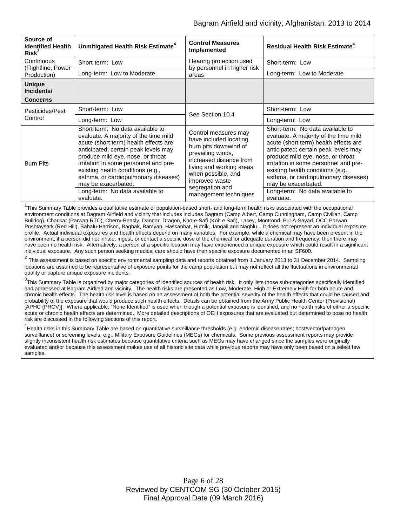| Source of<br><b>Identified Health</b><br>Risk <sup>3</sup> | Unmitigated Health Risk Estimate <sup>4</sup>                                                                                                                                                                                                                                                                                                | <b>Control Measures</b><br>Implemented                                                                                                                                                                                                  | <b>Residual Health Risk Estimate<sup>4</sup></b>                                                                                                                                                                                                                                                                                             |
|------------------------------------------------------------|----------------------------------------------------------------------------------------------------------------------------------------------------------------------------------------------------------------------------------------------------------------------------------------------------------------------------------------------|-----------------------------------------------------------------------------------------------------------------------------------------------------------------------------------------------------------------------------------------|----------------------------------------------------------------------------------------------------------------------------------------------------------------------------------------------------------------------------------------------------------------------------------------------------------------------------------------------|
| Continuous<br>(Flightline, Power<br>Production)            | Short-term: Low                                                                                                                                                                                                                                                                                                                              | Hearing protection used<br>by personnel in higher risk<br>areas                                                                                                                                                                         | Short-term: Low                                                                                                                                                                                                                                                                                                                              |
|                                                            | Long-term: Low to Moderate                                                                                                                                                                                                                                                                                                                   |                                                                                                                                                                                                                                         | Long-term: Low to Moderate                                                                                                                                                                                                                                                                                                                   |
| <b>Unique</b><br>Incidents/<br><b>Concerns</b>             |                                                                                                                                                                                                                                                                                                                                              |                                                                                                                                                                                                                                         |                                                                                                                                                                                                                                                                                                                                              |
| Pesticides/Pest<br>Control                                 | Short-term: Low                                                                                                                                                                                                                                                                                                                              | See Section 10.4                                                                                                                                                                                                                        | Short-term: Low                                                                                                                                                                                                                                                                                                                              |
|                                                            | Long-term: Low                                                                                                                                                                                                                                                                                                                               |                                                                                                                                                                                                                                         | Long-term: Low                                                                                                                                                                                                                                                                                                                               |
| <b>Burn Pits</b>                                           | Short-term: No data available to<br>evaluate. A majority of the time mild<br>acute (short term) health effects are<br>anticipated; certain peak levels may<br>produce mild eye, nose, or throat<br>irritation in some personnel and pre-<br>existing health conditions (e.g.,<br>asthma, or cardiopulmonary diseases)<br>may be exacerbated. | Control measures may<br>have included locating<br>burn pits downwind of<br>prevailing winds,<br>increased distance from<br>living and working areas<br>when possible, and<br>improved waste<br>segregation and<br>management techniques | Short-term: No data available to<br>evaluate. A majority of the time mild<br>acute (short term) health effects are<br>anticipated; certain peak levels may<br>produce mild eye, nose, or throat<br>irritation in some personnel and pre-<br>existing health conditions (e.g.,<br>asthma, or cardiopulmonary diseases)<br>may be exacerbated. |
|                                                            | Long-term: No data available to<br>evaluate.                                                                                                                                                                                                                                                                                                 |                                                                                                                                                                                                                                         | Long-term: No data available to<br>evaluate.                                                                                                                                                                                                                                                                                                 |

<sup>1</sup>This Summary Table provides a qualitative estimate of population-based short- and long-term health risks associated with the occupational environment conditions at Bagram Airfield and vicinity that includes includes Bagram (Camp Albert, Camp Cunningham, Camp Civilian, Camp Bulldog), Charikar (Parwan RTC), Cherry-Beasly, Dandar, Dragon, Kho-e-Safi (Koh e Safi), Lacey, Montrond, Pul-A-Sayad, OCC Parwan, Pushtaysark (Red Hill), Sabalu-Harrison, Baghak, Bamyan, Hassanbat, Hutnik, Jangali and Naghlu.. It does not represent an individual exposure profile. Actual individual exposures and health effects depend on many variables. For example, while a chemical may have been present in the environment, if a person did not inhale, ingest, or contact a specific dose of the chemical for adequate duration and frequency, then there may have been no health risk. Alternatively, a person at a specific location may have experienced a unique exposure which could result in a significant individual exposure. Any such person seeking medical care should have their specific exposure documented in an SF600.

 $^2$  This assessment is based on specific environmental sampling data and reports obtained from 1 January 2013 to 31 December 2014. Sampling locations are assumed to be representative of exposure points for the camp population but may not reflect all the fluctuations in environmental quality or capture unique exposure incidents.

 $^3$ This Summary Table is organized by major categories of identified sources of health risk. It only lists those sub-categories specifically identified and addressed at Bagram Airfield and vicinity. The health risks are presented as Low, Moderate, High or Extremely High for both acute and chronic health effects. The health risk level is based on an assessment of both the potential severity of the health effects that could be caused and probability of the exposure that would produce such health effects. Details can be obtained from the Army Public Health Center (Provisional) [APHC (PROV)]. Where applicable, "None Identified" is used when though a potential exposure is identified, and no health risks of either a specific acute or chronic health effects are determined. More detailed descriptions of OEH exposures that are evaluated but determined to pose no health risk are discussed in the following sections of this report.

<sup>4</sup><br>Health risks in this Summary Table are based on quantitative surveillance thresholds (e.g. endemic disease rates; host/vector/pathogen surveillance) or screening levels, e.g., Military Exposure Guidelines (MEGs) for chemicals*.* Some previous assessment reports may provide slightly inconsistent health risk estimates because quantitative criteria such as MEGs may have changed since the samples were originally evaluated and/or because this assessment makes use of all historic site data while previous reports may have only been based on a select few samples.

> Page 6 of 28 Reviewed by CENTCOM SG (30 October 2015) Final Approval Date (09 March 2016)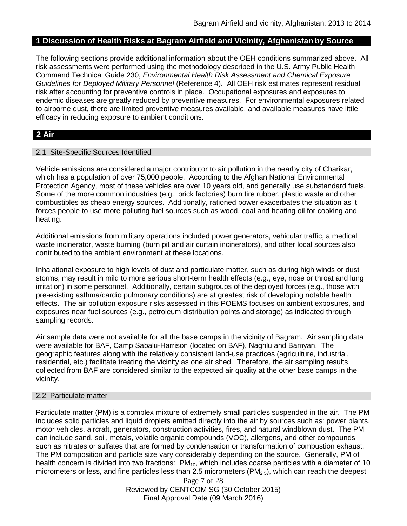### **1 Discussion of Health Risks at Bagram Airfield and Vicinity, Afghanistan by Source**

The following sections provide additional information about the OEH conditions summarized above. All risk assessments were performed using the methodology described in the U.S. Army Public Health Command Technical Guide 230, *Environmental Health Risk Assessment and Chemical Exposure Guidelines for Deployed Military Personnel* (Reference 4). All OEH risk estimates represent residual risk after accounting for preventive controls in place. Occupational exposures and exposures to endemic diseases are greatly reduced by preventive measures. For environmental exposures related to airborne dust, there are limited preventive measures available, and available measures have little efficacy in reducing exposure to ambient conditions.

## **2 Air**

#### 2.1 Site-Specific Sources Identified

Vehicle emissions are considered a major contributor to air pollution in the nearby city of Charikar, which has a population of over 75,000 people. According to the Afghan National Environmental Protection Agency, most of these vehicles are over 10 years old, and generally use substandard fuels. Some of the more common industries (e.g., brick factories) burn tire rubber, plastic waste and other combustibles as cheap energy sources. Additionally, rationed power exacerbates the situation as it forces people to use more polluting fuel sources such as wood, coal and heating oil for cooking and heating.

Additional emissions from military operations included power generators, vehicular traffic, a medical waste incinerator, waste burning (burn pit and air curtain incinerators), and other local sources also contributed to the ambient environment at these locations.

Inhalational exposure to high levels of dust and particulate matter, such as during high winds or dust storms, may result in mild to more serious short-term health effects (e.g., eye, nose or throat and lung irritation) in some personnel. Additionally, certain subgroups of the deployed forces (e.g., those with pre-existing asthma/cardio pulmonary conditions) are at greatest risk of developing notable health effects. The air pollution exposure risks assessed in this POEMS focuses on ambient exposures, and exposures near fuel sources (e.g., petroleum distribution points and storage) as indicated through sampling records.

Air sample data were not available for all the base camps in the vicinity of Bagram. Air sampling data were available for BAF, Camp Sabalu-Harrison (located on BAF), Naghlu and Bamyan. The geographic features along with the relatively consistent land-use practices (agriculture, industrial, residential, etc.) facilitate treating the vicinity as one air shed. Therefore, the air sampling results collected from BAF are considered similar to the expected air quality at the other base camps in the vicinity.

#### 2.2 Particulate matter

Particulate matter (PM) is a complex mixture of extremely small particles suspended in the air. The PM includes solid particles and liquid droplets emitted directly into the air by sources such as: power plants, motor vehicles, aircraft, generators, construction activities, fires, and natural windblown dust. The PM can include sand, soil, metals, volatile organic compounds (VOC), allergens, and other compounds such as nitrates or sulfates that are formed by condensation or transformation of combustion exhaust. The PM composition and particle size vary considerably depending on the source. Generally, PM of health concern is divided into two fractions:  $PM_{10}$ , which includes coarse particles with a diameter of 10 micrometers or less, and fine particles less than 2.5 micrometers  $(PM_{2.5})$ , which can reach the deepest

> Page 7 of 28 Reviewed by CENTCOM SG (30 October 2015) Final Approval Date (09 March 2016)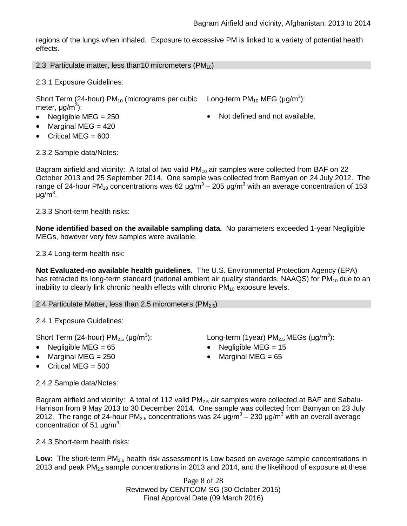regions of the lungs when inhaled. Exposure to excessive PM is linked to a variety of potential health effects.

2.3 Particulate matter, less than10 micrometers  $(PM_{10})$ 

2.3.1 Exposure Guidelines:

Short Term (24-hour) PM<sub>10</sub> (micrograms per cubic Long-term PM<sub>10</sub> MEG (µg/m<sup>3</sup>): meter, μg/m<sup>3</sup>):

- 
- Marginal MEG = 420
- Critical MEG = 600

• Negligible MEG = 250 **•** Not defined and not available.

2.3.2 Sample data/Notes:

Bagram airfield and vicinity: A total of two valid  $PM_{10}$  air samples were collected from BAF on 22 October 2013 and 25 September 2014. One sample was collected from Bamyan on 24 July 2012. The range of 24-hour PM<sub>10</sub> concentrations was 62  $\mu$ g/m<sup>3</sup> – 205  $\mu$ g/m<sup>3</sup> with an average concentration of 153 μg/m<sup>3</sup>.

2.3.3 Short-term health risks:

**None identified based on the available sampling data.** No parameters exceeded 1-year Negligible MEGs, however very few samples were available.

2.3.4 Long-term health risk:

**Not Evaluated-no available health guidelines**. The U.S. Environmental Protection Agency (EPA) has retracted its long-term standard (national ambient air quality standards, NAAQS) for  $PM_{10}$  due to an inability to clearly link chronic health effects with chronic  $PM_{10}$  exposure levels.

2.4 Particulate Matter, less than 2.5 micrometers (PM<sub>2.5</sub>)

2.4.1 Exposure Guidelines:

Short Term (24-hour)  $PM_{2.5}$  ( $\mu$ g/m<sup>3</sup>):

- 
- 
- Critical MEG = 500

2.4.2 Sample data/Notes: Bagram airfield and vicinity: A total of 112 valid  $PM_{2.5}$  air samples were collected at BAF and Sabalu-

Harrison from 9 May 2013 to 30 December 2014. One sample was collected from Bamyan on 23 July 2012. The range of 24-hour PM<sub>2.5</sub> concentrations was 24  $\mu$ g/m<sup>3</sup> – 230  $\mu$ g/m<sup>3</sup> with an overall average concentration of 51  $\mu$ g/m<sup>3</sup>.

2.4.3 Short-term health risks:

**Low:** The short-term PM<sub>2.5</sub> health risk assessment is Low based on average sample concentrations in 2013 and peak  $PM<sub>2.5</sub>$  sample concentrations in 2013 and 2014, and the likelihood of exposure at these

> Page 8 of 28 Reviewed by CENTCOM SG (30 October 2015) Final Approval Date (09 March 2016)

- ):  $\qquad \qquad \textsf{Long-term (1year) PM}_{2.5} \, \textsf{MEGs (}\mu\textsf{g/m}^3\textsf{)}\textsf{:}$
- Negligible MEG = 65 Negligible MEG = 15
- Marginal MEG = 250 Marginal MEG = 65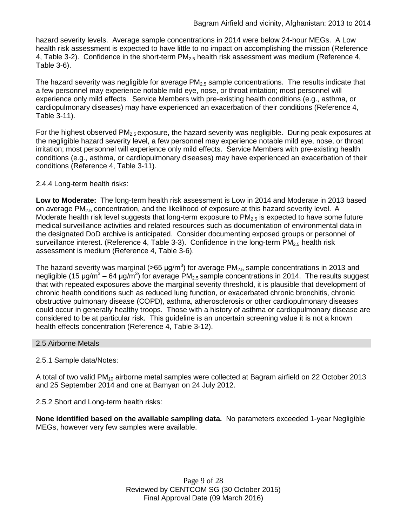hazard severity levels. Average sample concentrations in 2014 were below 24-hour MEGs. A Low health risk assessment is expected to have little to no impact on accomplishing the mission (Reference 4, Table 3-2). Confidence in the short-term  $PM<sub>2.5</sub>$  health risk assessment was medium (Reference 4, Table 3-6).

The hazard severity was negligible for average  $PM_{2.5}$  sample concentrations. The results indicate that a few personnel may experience notable mild eye, nose, or throat irritation; most personnel will experience only mild effects. Service Members with pre-existing health conditions (e.g., asthma, or cardiopulmonary diseases) may have experienced an exacerbation of their conditions (Reference 4, Table 3-11).

For the highest observed  $PM<sub>2.5</sub>$  exposure, the hazard severity was negligible. During peak exposures at the negligible hazard severity level, a few personnel may experience notable mild eye, nose, or throat irritation; most personnel will experience only mild effects. Service Members with pre-existing health conditions (e.g., asthma, or cardiopulmonary diseases) may have experienced an exacerbation of their conditions (Reference 4, Table 3-11).

# 2.4.4 Long-term health risks:

**Low to Moderate:** The long-term health risk assessment is Low in 2014 and Moderate in 2013 based on average PM<sub>2.5</sub> concentration, and the likelihood of exposure at this hazard severity level. A Moderate health risk level suggests that long-term exposure to  $PM_{2.5}$  is expected to have some future medical surveillance activities and related resources such as documentation of environmental data in the designated DoD archive is anticipated. Consider documenting exposed groups or personnel of surveillance interest. (Reference 4, Table 3-3). Confidence in the long-term  $PM<sub>2.5</sub>$  health risk assessment is medium (Reference 4, Table 3-6).

The hazard severity was marginal (>65  $\mu$ g/m<sup>3</sup>) for average PM<sub>2.5</sub> sample concentrations in 2013 and negligible (15 μg/m $3$  – 64 μg/m $3$ ) for average PM<sub>2.5</sub> sample concentrations in 2014. The results suggest that with repeated exposures above the marginal severity threshold, it is plausible that development of chronic health conditions such as reduced lung function, or exacerbated chronic bronchitis, chronic obstructive pulmonary disease (COPD), asthma, atherosclerosis or other cardiopulmonary diseases could occur in generally healthy troops. Those with a history of asthma or cardiopulmonary disease are considered to be at particular risk. This guideline is an uncertain screening value it is not a known health effects concentration (Reference 4, Table 3-12).

## 2.5 Airborne Metals

# 2.5.1 Sample data/Notes:

A total of two valid PM<sub>10</sub> airborne metal samples were collected at Bagram airfield on 22 October 2013 and 25 September 2014 and one at Bamyan on 24 July 2012.

2.5.2 Short and Long-term health risks:

**None identified based on the available sampling data.** No parameters exceeded 1-year Negligible MEGs, however very few samples were available.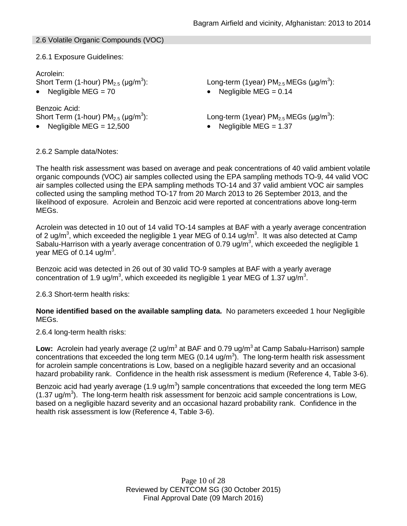## 2.6 Volatile Organic Compounds (VOC)

2.6.1 Exposure Guidelines:

# Acrolein:

Short Term (1-hour)  $PM<sub>2.5</sub>$  ( $\mu$ g/m<sup>3</sup>):

Benzoic Acid: Short Term (1-hour)  $PM<sub>2.5</sub>$  ( $\mu$ g/m<sup>3</sup>):

): Long-term (1year)  $PM_{2.5}$  MEGs (µg/m $^3$ ):

• Negligible MEG =  $70$  • Negligible MEG =  $0.14$ 

): Long-term (1year)  $PM_{2.5}$  MEGs (µg/m<sup>3</sup>):

• Negligible MEG =  $12,500$  • Negligible MEG =  $1.37$ 

2.6.2 Sample data/Notes:

The health risk assessment was based on average and peak concentrations of 40 valid ambient volatile organic compounds (VOC) air samples collected using the EPA sampling methods TO-9, 44 valid VOC air samples collected using the EPA sampling methods TO-14 and 37 valid ambient VOC air samples collected using the sampling method TO-17 from 20 March 2013 to 26 September 2013, and the likelihood of exposure. Acrolein and Benzoic acid were reported at concentrations above long-term MEGs.

Acrolein was detected in 10 out of 14 valid TO-14 samples at BAF with a yearly average concentration of 2 ug/m<sup>3</sup>, which exceeded the negligible 1 year MEG of 0.14 ug/m<sup>3</sup>. It was also detected at Camp Sabalu-Harrison with a yearly average concentration of 0.79 ug/ $m<sup>3</sup>$ , which exceeded the negligible 1 year MEG of 0.14 ug/m $^3$ .

Benzoic acid was detected in 26 out of 30 valid TO-9 samples at BAF with a yearly average concentration of 1.9 ug/m<sup>3</sup>, which exceeded its negligible 1 year MEG of 1.37 ug/m<sup>3</sup>.

2.6.3 Short-term health risks:

**None identified based on the available sampling data.** No parameters exceeded 1 hour Negligible MEGs.

2.6.4 long-term health risks:

Low: Acrolein had yearly average (2 ug/m<sup>3</sup> at BAF and 0.79 ug/m<sup>3</sup> at Camp Sabalu-Harrison) sample concentrations that exceeded the long term MEG (0.14 ug/m<sup>3</sup>). The long-term health risk assessment for acrolein sample concentrations is Low, based on a negligible hazard severity and an occasional hazard probability rank. Confidence in the health risk assessment is medium (Reference 4, Table 3-6).

Benzoic acid had yearly average (1.9 ug/m<sup>3</sup>) sample concentrations that exceeded the long term MEG  $(1.37 \text{ ug/m}^3)$ . The long-term health risk assessment for benzoic acid sample concentrations is Low, based on a negligible hazard severity and an occasional hazard probability rank. Confidence in the health risk assessment is low (Reference 4, Table 3-6).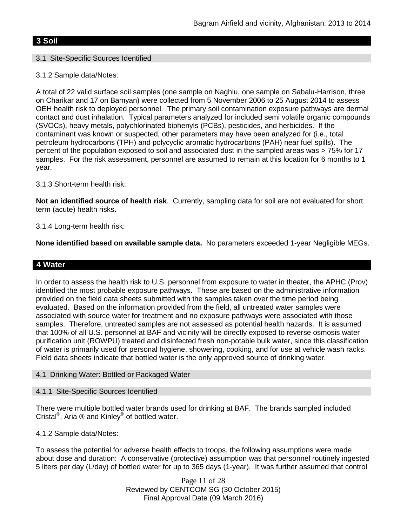# **3 Soil**

#### 3.1 Site-Specific Sources Identified

### 3.1.2 Sample data/Notes:

A total of 22 valid surface soil samples (one sample on Naghlu, one sample on Sabalu-Harrison, three on Charikar and 17 on Bamyan) were collected from 5 November 2006 to 25 August 2014 to assess OEH health risk to deployed personnel. The primary soil contamination exposure pathways are dermal contact and dust inhalation. Typical parameters analyzed for included semi volatile organic compounds (SVOCs), heavy metals, polychlorinated biphenyls (PCBs), pesticides, and herbicides. If the contaminant was known or suspected, other parameters may have been analyzed for (i.e., total petroleum hydrocarbons (TPH) and polycyclic aromatic hydrocarbons (PAH) near fuel spills). The percent of the population exposed to soil and associated dust in the sampled areas was > 75% for 17 samples. For the risk assessment, personnel are assumed to remain at this location for 6 months to 1 year.

### 3.1.3 Short-term health risk:

**Not an identified source of health risk**. Currently, sampling data for soil are not evaluated for short term (acute) health risks**.**

### 3.1.4 Long-term health risk:

**None identified based on available sample data.** No parameters exceeded 1-year Negligible MEGs.

## **4 Water**

In order to assess the health risk to U.S. personnel from exposure to water in theater, the APHC (Prov) identified the most probable exposure pathways. These are based on the administrative information provided on the field data sheets submitted with the samples taken over the time period being evaluated. Based on the information provided from the field, all untreated water samples were associated with source water for treatment and no exposure pathways were associated with those samples. Therefore, untreated samples are not assessed as potential health hazards. It is assumed that 100% of all U.S. personnel at BAF and vicinity will be directly exposed to reverse osmosis water purification unit (ROWPU) treated and disinfected fresh non-potable bulk water, since this classification of water is primarily used for personal hygiene, showering, cooking, and for use at vehicle wash racks. Field data sheets indicate that bottled water is the only approved source of drinking water.

#### 4.1 Drinking Water: Bottled or Packaged Water

#### 4.1.1 Site-Specific Sources Identified

There were multiple bottled water brands used for drinking at BAF. The brands sampled included Cristal®, Aria ® and Kinley® of bottled water.

4.1.2 Sample data/Notes:

To assess the potential for adverse health effects to troops, the following assumptions were made about dose and duration: A conservative (protective) assumption was that personnel routinely ingested 5 liters per day (L/day) of bottled water for up to 365 days (1-year). It was further assumed that control

> Page 11 of 28 Reviewed by CENTCOM SG (30 October 2015) Final Approval Date (09 March 2016)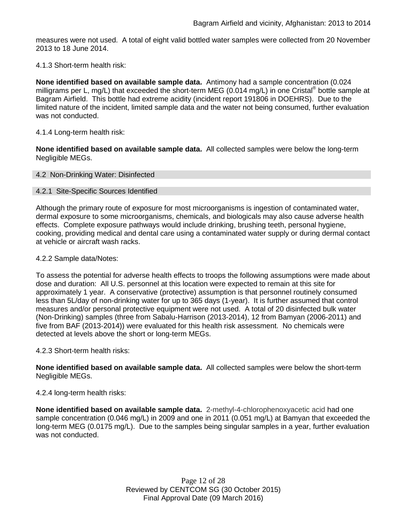measures were not used. A total of eight valid bottled water samples were collected from 20 November 2013 to 18 June 2014.

#### 4.1.3 Short-term health risk:

**None identified based on available sample data.** Antimony had a sample concentration (0.024 milligrams per L, mg/L) that exceeded the short-term MEG (0.014 mg/L) in one Cristal<sup>®</sup> bottle sample at Bagram Airfield. This bottle had extreme acidity (incident report 191806 in DOEHRS). Due to the limited nature of the incident, limited sample data and the water not being consumed, further evaluation was not conducted.

#### 4.1.4 Long-term health risk:

**None identified based on available sample data.** All collected samples were below the long-term Negligible MEGs.

#### 4.2 Non-Drinking Water: Disinfected

#### 4.2.1 Site-Specific Sources Identified

Although the primary route of exposure for most microorganisms is ingestion of contaminated water, dermal exposure to some microorganisms, chemicals, and biologicals may also cause adverse health effects. Complete exposure pathways would include drinking, brushing teeth, personal hygiene, cooking, providing medical and dental care using a contaminated water supply or during dermal contact at vehicle or aircraft wash racks.

#### 4.2.2 Sample data/Notes:

To assess the potential for adverse health effects to troops the following assumptions were made about dose and duration: All U.S. personnel at this location were expected to remain at this site for approximately 1 year. A conservative (protective) assumption is that personnel routinely consumed less than 5L/day of non-drinking water for up to 365 days (1-year). It is further assumed that control measures and/or personal protective equipment were not used. A total of 20 disinfected bulk water (Non-Drinking) samples (three from Sabalu-Harrison (2013-2014), 12 from Bamyan (2006-2011) and five from BAF (2013-2014)) were evaluated for this health risk assessment. No chemicals were detected at levels above the short or long-term MEGs.

#### 4.2.3 Short-term health risks:

**None identified based on available sample data.** All collected samples were below the short-term Negligible MEGs.

#### 4.2.4 long-term health risks:

**None identified based on available sample data.** 2-methyl-4-chlorophenoxyacetic acid had one sample concentration (0.046 mg/L) in 2009 and one in 2011 (0.051 mg/L) at Bamyan that exceeded the long-term MEG (0.0175 mg/L). Due to the samples being singular samples in a year, further evaluation was not conducted.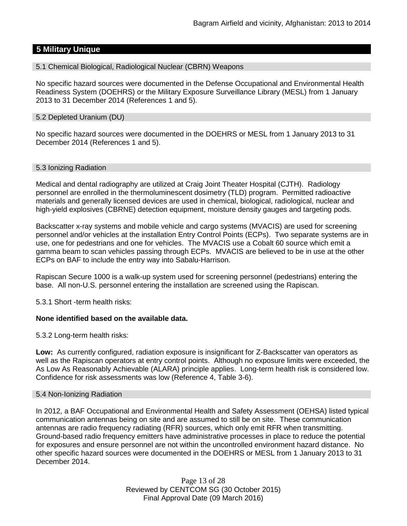# **5 Military Unique**

5.1 Chemical Biological, Radiological Nuclear (CBRN) Weapons

No specific hazard sources were documented in the Defense Occupational and Environmental Health Readiness System (DOEHRS) or the Military Exposure Surveillance Library (MESL) from 1 January 2013 to 31 December 2014 (References 1 and 5).

#### 5.2 Depleted Uranium (DU)

No specific hazard sources were documented in the DOEHRS or MESL from 1 January 2013 to 31 December 2014 (References 1 and 5).

### 5.3 Ionizing Radiation

Medical and dental radiography are utilized at Craig Joint Theater Hospital (CJTH). Radiology personnel are enrolled in the thermoluminescent dosimetry (TLD) program. Permitted radioactive materials and generally licensed devices are used in chemical, biological, radiological, nuclear and high-yield explosives (CBRNE) detection equipment, moisture density gauges and targeting pods.

Backscatter x-ray systems and mobile vehicle and cargo systems (MVACIS) are used for screening personnel and/or vehicles at the installation Entry Control Points (ECPs). Two separate systems are in use, one for pedestrians and one for vehicles. The MVACIS use a Cobalt 60 source which emit a gamma beam to scan vehicles passing through ECPs. MVACIS are believed to be in use at the other ECPs on BAF to include the entry way into Sabalu-Harrison.

Rapiscan Secure 1000 is a walk-up system used for screening personnel (pedestrians) entering the base. All non-U.S. personnel entering the installation are screened using the Rapiscan.

5.3.1 Short -term health risks:

## **None identified based on the available data.**

5.3.2 Long-term health risks:

**Low:** As currently configured, radiation exposure is insignificant for Z-Backscatter van operators as well as the Rapiscan operators at entry control points. Although no exposure limits were exceeded, the As Low As Reasonably Achievable (ALARA) principle applies. Long-term health risk is considered low. Confidence for risk assessments was low (Reference 4, Table 3-6).

#### 5.4 Non-Ionizing Radiation

In 2012, a BAF Occupational and Environmental Health and Safety Assessment (OEHSA) listed typical communication antennas being on site and are assumed to still be on site. These communication antennas are radio frequency radiating (RFR) sources, which only emit RFR when transmitting. Ground-based radio frequency emitters have administrative processes in place to reduce the potential for exposures and ensure personnel are not within the uncontrolled environment hazard distance. No other specific hazard sources were documented in the DOEHRS or MESL from 1 January 2013 to 31 December 2014.

> Page 13 of 28 Reviewed by CENTCOM SG (30 October 2015) Final Approval Date (09 March 2016)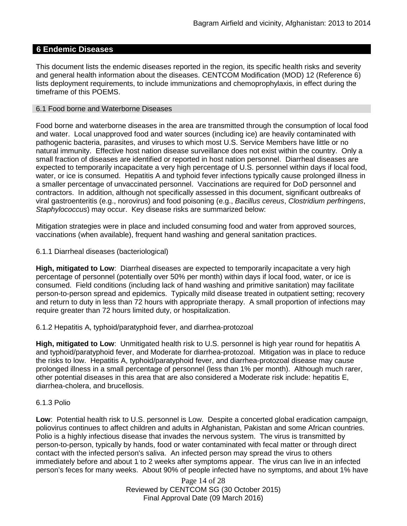### **6 Endemic Diseases**

This document lists the endemic diseases reported in the region, its specific health risks and severity and general health information about the diseases. CENTCOM Modification (MOD) 12 (Reference 6) lists deployment requirements, to include immunizations and chemoprophylaxis, in effect during the timeframe of this POEMS.

#### 6.1 Food borne and Waterborne Diseases

Food borne and waterborne diseases in the area are transmitted through the consumption of local food and water. Local unapproved food and water sources (including ice) are heavily contaminated with pathogenic bacteria, parasites, and viruses to which most U.S. Service Members have little or no natural immunity. Effective host nation disease surveillance does not exist within the country. Only a small fraction of diseases are identified or reported in host nation personnel. Diarrheal diseases are expected to temporarily incapacitate a very high percentage of U.S. personnel within days if local food, water, or ice is consumed. Hepatitis A and typhoid fever infections typically cause prolonged illness in a smaller percentage of unvaccinated personnel. Vaccinations are required for DoD personnel and contractors. In addition, although not specifically assessed in this document, significant outbreaks of viral gastroenteritis (e.g., norovirus) and food poisoning (e.g., *Bacillus cereus*, *Clostridium perfringens*, *Staphylococcus*) may occur. Key disease risks are summarized below:

Mitigation strategies were in place and included consuming food and water from approved sources, vaccinations (when available), frequent hand washing and general sanitation practices.

#### 6.1.1 Diarrheal diseases (bacteriological)

**High, mitigated to Low**: Diarrheal diseases are expected to temporarily incapacitate a very high percentage of personnel (potentially over 50% per month) within days if local food, water, or ice is consumed. Field conditions (including lack of hand washing and primitive sanitation) may facilitate person-to-person spread and epidemics. Typically mild disease treated in outpatient setting; recovery and return to duty in less than 72 hours with appropriate therapy. A small proportion of infections may require greater than 72 hours limited duty, or hospitalization.

6.1.2 Hepatitis A, typhoid/paratyphoid fever, and diarrhea-protozoal

**High, mitigated to Low**: Unmitigated health risk to U.S. personnel is high year round for hepatitis A and typhoid/paratyphoid fever, and Moderate for diarrhea-protozoal. Mitigation was in place to reduce the risks to low. Hepatitis A, typhoid/paratyphoid fever, and diarrhea-protozoal disease may cause prolonged illness in a small percentage of personnel (less than 1% per month). Although much rarer, other potential diseases in this area that are also considered a Moderate risk include: hepatitis E, diarrhea-cholera, and brucellosis.

#### 6.1.3 Polio

**Low**: Potential health risk to U.S. personnel is Low. Despite a concerted global eradication campaign, poliovirus continues to affect children and adults in Afghanistan, Pakistan and some African countries. Polio is a highly infectious disease that invades the nervous system. The virus is transmitted by person-to-person, typically by hands, food or water contaminated with fecal matter or through direct contact with the infected person's saliva. An infected person may spread the virus to others immediately before and about 1 to 2 weeks after symptoms appear. The virus can live in an infected person's feces for many weeks. About 90% of people infected have no symptoms, and about 1% have

> Page 14 of 28 Reviewed by CENTCOM SG (30 October 2015) Final Approval Date (09 March 2016)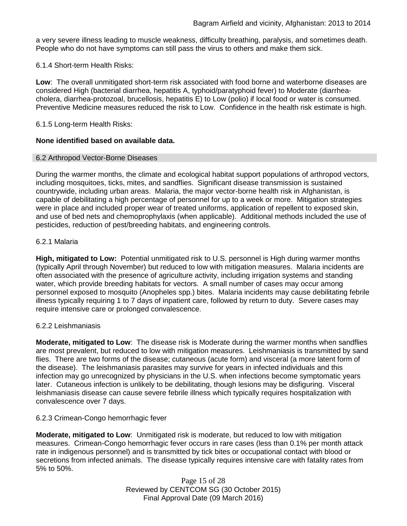a very severe illness leading to muscle weakness, difficulty breathing, paralysis, and sometimes death. People who do not have symptoms can still pass the virus to others and make them sick.

6.1.4 Short-term Health Risks:

**Low**: The overall unmitigated short-term risk associated with food borne and waterborne diseases are considered High (bacterial diarrhea, hepatitis A, typhoid/paratyphoid fever) to Moderate (diarrheacholera, diarrhea-protozoal, brucellosis, hepatitis E) to Low (polio) if local food or water is consumed. Preventive Medicine measures reduced the risk to Low. Confidence in the health risk estimate is high.

### 6.1.5 Long-term Health Risks:

## **None identified based on available data.**

#### 6.2 Arthropod Vector-Borne Diseases

During the warmer months, the climate and ecological habitat support populations of arthropod vectors, including mosquitoes, ticks, mites, and sandflies. Significant disease transmission is sustained countrywide, including urban areas. Malaria, the major vector-borne health risk in Afghanistan, is capable of debilitating a high percentage of personnel for up to a week or more. Mitigation strategies were in place and included proper wear of treated uniforms, application of repellent to exposed skin, and use of bed nets and chemoprophylaxis (when applicable). Additional methods included the use of pesticides, reduction of pest/breeding habitats, and engineering controls.

### 6.2.1 Malaria

**High, mitigated to Low:** Potential unmitigated risk to U.S. personnel is High during warmer months (typically April through November) but reduced to low with mitigation measures. Malaria incidents are often associated with the presence of agriculture activity, including irrigation systems and standing water, which provide breeding habitats for vectors. A small number of cases may occur among personnel exposed to mosquito (Anopheles spp.) bites. Malaria incidents may cause debilitating febrile illness typically requiring 1 to 7 days of inpatient care, followed by return to duty. Severe cases may require intensive care or prolonged convalescence.

#### 6.2.2 Leishmaniasis

**Moderate, mitigated to Low**: The disease risk is Moderate during the warmer months when sandflies are most prevalent, but reduced to low with mitigation measures. Leishmaniasis is transmitted by sand flies. There are two forms of the disease; cutaneous (acute form) and visceral (a more latent form of the disease). The leishmaniasis parasites may survive for years in infected individuals and this infection may go unrecognized by physicians in the U.S. when infections become symptomatic years later. Cutaneous infection is unlikely to be debilitating, though lesions may be disfiguring. Visceral leishmaniasis disease can cause severe febrile illness which typically requires hospitalization with convalescence over 7 days.

#### 6.2.3 Crimean-Congo hemorrhagic fever

**Moderate, mitigated to Low**: Unmitigated risk is moderate, but reduced to low with mitigation measures. Crimean-Congo hemorrhagic fever occurs in rare cases (less than 0.1% per month attack rate in indigenous personnel) and is transmitted by tick bites or occupational contact with blood or secretions from infected animals. The disease typically requires intensive care with fatality rates from 5% to 50%.

> Page 15 of 28 Reviewed by CENTCOM SG (30 October 2015) Final Approval Date (09 March 2016)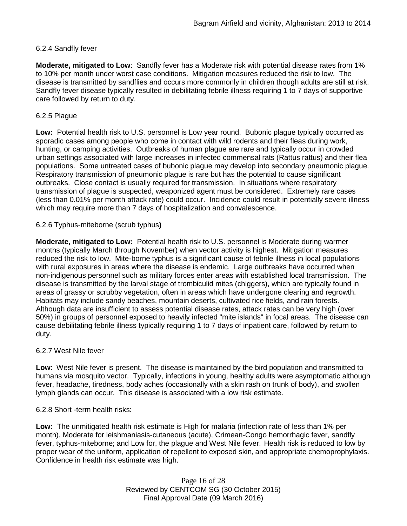### 6.2.4 Sandfly fever

**Moderate, mitigated to Low**: Sandfly fever has a Moderate risk with potential disease rates from 1% to 10% per month under worst case conditions. Mitigation measures reduced the risk to low. The disease is transmitted by sandflies and occurs more commonly in children though adults are still at risk. Sandfly fever disease typically resulted in debilitating febrile illness requiring 1 to 7 days of supportive care followed by return to duty.

### 6.2.5 Plague

**Low:** Potential health risk to U.S. personnel is Low year round. Bubonic plague typically occurred as sporadic cases among people who come in contact with wild rodents and their fleas during work, hunting, or camping activities. Outbreaks of human plague are rare and typically occur in crowded urban settings associated with large increases in infected commensal rats (Rattus rattus) and their flea populations. Some untreated cases of bubonic plague may develop into secondary pneumonic plague. Respiratory transmission of pneumonic plague is rare but has the potential to cause significant outbreaks. Close contact is usually required for transmission. In situations where respiratory transmission of plague is suspected, weaponized agent must be considered. Extremely rare cases (less than 0.01% per month attack rate) could occur. Incidence could result in potentially severe illness which may require more than 7 days of hospitalization and convalescence.

### 6.2.6 Typhus-miteborne (scrub typhus**)**

**Moderate, mitigated to Low:** Potential health risk to U.S. personnel is Moderate during warmer months (typically March through November) when vector activity is highest. Mitigation measures reduced the risk to low. Mite-borne typhus is a significant cause of febrile illness in local populations with rural exposures in areas where the disease is endemic. Large outbreaks have occurred when non-indigenous personnel such as military forces enter areas with established local transmission. The disease is transmitted by the larval stage of trombiculid mites (chiggers), which are typically found in areas of grassy or scrubby vegetation, often in areas which have undergone clearing and regrowth. Habitats may include sandy beaches, mountain deserts, cultivated rice fields, and rain forests. Although data are insufficient to assess potential disease rates, attack rates can be very high (over 50%) in groups of personnel exposed to heavily infected "mite islands" in focal areas. The disease can cause debilitating febrile illness typically requiring 1 to 7 days of inpatient care, followed by return to duty.

#### 6.2.7 West Nile fever

**Low**: West Nile fever is present. The disease is maintained by the bird population and transmitted to humans via mosquito vector. Typically, infections in young, healthy adults were asymptomatic although fever, headache, tiredness, body aches (occasionally with a skin rash on trunk of body), and swollen lymph glands can occur. This disease is associated with a low risk estimate.

#### 6.2.8 Short -term health risks:

**Low:** The unmitigated health risk estimate is High for malaria (infection rate of less than 1% per month), Moderate for leishmaniasis-cutaneous (acute), Crimean-Congo hemorrhagic fever, sandfly fever, typhus-miteborne; and Low for, the plague and West Nile fever. Health risk is reduced to low by proper wear of the uniform, application of repellent to exposed skin, and appropriate chemoprophylaxis. Confidence in health risk estimate was high.

> Page 16 of 28 Reviewed by CENTCOM SG (30 October 2015) Final Approval Date (09 March 2016)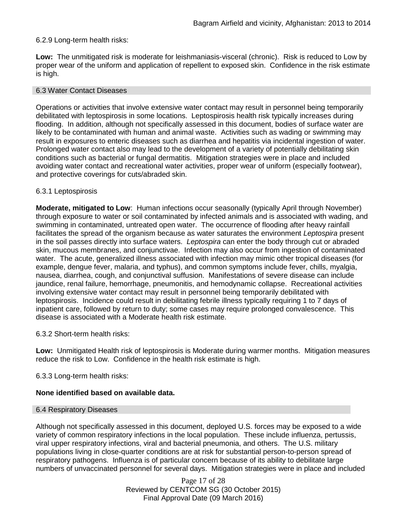### 6.2.9 Long-term health risks:

**Low:** The unmitigated risk is moderate for leishmaniasis-visceral (chronic). Risk is reduced to Low by proper wear of the uniform and application of repellent to exposed skin. Confidence in the risk estimate is high.

#### 6.3 Water Contact Diseases

Operations or activities that involve extensive water contact may result in personnel being temporarily debilitated with leptospirosis in some locations. Leptospirosis health risk typically increases during flooding. In addition, although not specifically assessed in this document, bodies of surface water are likely to be contaminated with human and animal waste. Activities such as wading or swimming may result in exposures to enteric diseases such as diarrhea and hepatitis via incidental ingestion of water. Prolonged water contact also may lead to the development of a variety of potentially debilitating skin conditions such as bacterial or fungal dermatitis. Mitigation strategies were in place and included avoiding water contact and recreational water activities, proper wear of uniform (especially footwear), and protective coverings for cuts/abraded skin.

#### 6.3.1 Leptospirosis

**Moderate, mitigated to Low**: Human infections occur seasonally (typically April through November) through exposure to water or soil contaminated by infected animals and is associated with wading, and swimming in contaminated, untreated open water. The occurrence of flooding after heavy rainfall facilitates the spread of the organism because as water saturates the environment *Leptospira* present in the soil passes directly into surface waters. *Leptospira* can enter the body through cut or abraded skin, mucous membranes, and conjunctivae. Infection may also occur from ingestion of contaminated water. The acute, generalized illness associated with infection may mimic other tropical diseases (for example, dengue fever, malaria, and typhus), and common symptoms include fever, chills, myalgia, nausea, diarrhea, cough, and conjunctival suffusion. Manifestations of severe disease can include jaundice, renal failure, hemorrhage, pneumonitis, and hemodynamic collapse. Recreational activities involving extensive water contact may result in personnel being temporarily debilitated with leptospirosis. Incidence could result in debilitating febrile illness typically requiring 1 to 7 days of inpatient care, followed by return to duty; some cases may require prolonged convalescence. This disease is associated with a Moderate health risk estimate.

#### 6.3.2 Short-term health risks:

**Low:** Unmitigated Health risk of leptospirosis is Moderate during warmer months. Mitigation measures reduce the risk to Low. Confidence in the health risk estimate is high.

#### 6.3.3 Long-term health risks:

## **None identified based on available data.**

#### 6.4 Respiratory Diseases

Although not specifically assessed in this document, deployed U.S. forces may be exposed to a wide variety of common respiratory infections in the local population. These include influenza, pertussis, viral upper respiratory infections, viral and bacterial pneumonia, and others. The U.S. military populations living in close-quarter conditions are at risk for substantial person-to-person spread of respiratory pathogens. Influenza is of particular concern because of its ability to debilitate large numbers of unvaccinated personnel for several days. Mitigation strategies were in place and included

> Page 17 of 28 Reviewed by CENTCOM SG (30 October 2015) Final Approval Date (09 March 2016)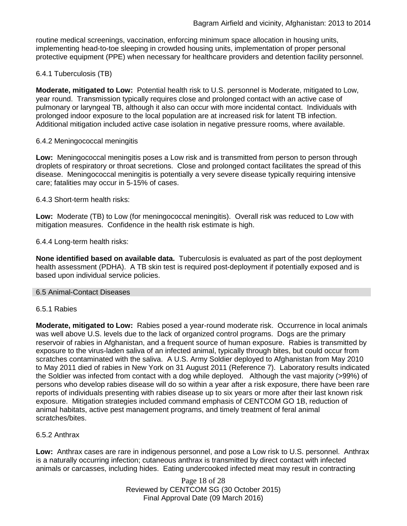routine medical screenings, vaccination, enforcing minimum space allocation in housing units, implementing head-to-toe sleeping in crowded housing units, implementation of proper personal protective equipment (PPE) when necessary for healthcare providers and detention facility personnel.

# 6.4.1 Tuberculosis (TB)

**Moderate, mitigated to Low:** Potential health risk to U.S. personnel is Moderate, mitigated to Low, year round. Transmission typically requires close and prolonged contact with an active case of pulmonary or laryngeal TB, although it also can occur with more incidental contact. Individuals with prolonged indoor exposure to the local population are at increased risk for latent TB infection. Additional mitigation included active case isolation in negative pressure rooms, where available.

### 6.4.2 Meningococcal meningitis

**Low:** Meningococcal meningitis poses a Low risk and is transmitted from person to person through droplets of respiratory or throat secretions. Close and prolonged contact facilitates the spread of this disease. Meningococcal meningitis is potentially a very severe disease typically requiring intensive care; fatalities may occur in 5-15% of cases.

### 6.4.3 Short-term health risks:

**Low:** Moderate (TB) to Low (for meningococcal meningitis). Overall risk was reduced to Low with mitigation measures. Confidence in the health risk estimate is high.

### 6.4.4 Long-term health risks:

**None identified based on available data.** Tuberculosis is evaluated as part of the post deployment health assessment (PDHA). A TB skin test is required post-deployment if potentially exposed and is based upon individual service policies.

#### 6.5 Animal-Contact Diseases

#### 6.5.1 Rabies

**Moderate, mitigated to Low:** Rabies posed a year-round moderate risk. Occurrence in local animals was well above U.S. levels due to the lack of organized control programs. Dogs are the primary reservoir of rabies in Afghanistan, and a frequent source of human exposure. Rabies is transmitted by exposure to the virus-laden saliva of an infected animal, typically through bites, but could occur from scratches contaminated with the saliva. A U.S. Army Soldier deployed to Afghanistan from May 2010 to May 2011 died of rabies in New York on 31 August 2011 (Reference 7). Laboratory results indicated the Soldier was infected from contact with a dog while deployed. Although the vast majority (>99%) of persons who develop rabies disease will do so within a year after a risk exposure, there have been rare reports of individuals presenting with rabies disease up to six years or more after their last known risk exposure. Mitigation strategies included command emphasis of CENTCOM GO 1B, reduction of animal habitats, active pest management programs, and timely treatment of feral animal scratches/bites.

## 6.5.2 Anthrax

**Low:** Anthrax cases are rare in indigenous personnel, and pose a Low risk to U.S. personnel. Anthrax is a naturally occurring infection; cutaneous anthrax is transmitted by direct contact with infected animals or carcasses, including hides. Eating undercooked infected meat may result in contracting

> Page 18 of 28 Reviewed by CENTCOM SG (30 October 2015) Final Approval Date (09 March 2016)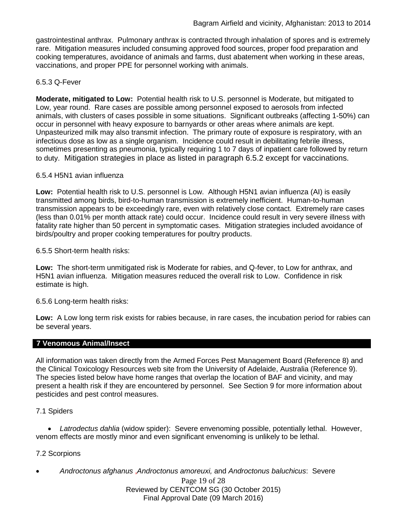gastrointestinal anthrax. Pulmonary anthrax is contracted through inhalation of spores and is extremely rare. Mitigation measures included consuming approved food sources, proper food preparation and cooking temperatures, avoidance of animals and farms, dust abatement when working in these areas, vaccinations, and proper PPE for personnel working with animals.

## 6.5.3 Q-Fever

**Moderate, mitigated to Low:** Potential health risk to U.S. personnel is Moderate, but mitigated to Low, year round. Rare cases are possible among personnel exposed to aerosols from infected animals, with clusters of cases possible in some situations. Significant outbreaks (affecting 1-50%) can occur in personnel with heavy exposure to barnyards or other areas where animals are kept. Unpasteurized milk may also transmit infection. The primary route of exposure is respiratory, with an infectious dose as low as a single organism. Incidence could result in debilitating febrile illness, sometimes presenting as pneumonia, typically requiring 1 to 7 days of inpatient care followed by return to duty. Mitigation strategies in place as listed in paragraph 6.5.2 except for vaccinations.

### 6.5.4 H5N1 avian influenza

**Low:** Potential health risk to U.S. personnel is Low. Although H5N1 avian influenza (AI) is easily transmitted among birds, bird-to-human transmission is extremely inefficient. Human-to-human transmission appears to be exceedingly rare, even with relatively close contact. Extremely rare cases (less than 0.01% per month attack rate) could occur. Incidence could result in very severe illness with fatality rate higher than 50 percent in symptomatic cases. Mitigation strategies included avoidance of birds/poultry and proper cooking temperatures for poultry products.

6.5.5 Short-term health risks:

**Low:** The short-term unmitigated risk is Moderate for rabies, and Q-fever, to Low for anthrax, and H5N1 avian influenza. Mitigation measures reduced the overall risk to Low.Confidence in risk estimate is high.

## 6.5.6 Long-term health risks:

**Low:** A Low long term risk exists for rabies because, in rare cases, the incubation period for rabies can be several years.

#### **7 Venomous Animal/Insect**

All information was taken directly from the Armed Forces Pest Management Board (Reference 8) and the Clinical Toxicology Resources web site from the University of Adelaide, Australia (Reference 9). The species listed below have home ranges that overlap the location of BAF and vicinity, and may present a health risk if they are encountered by personnel. See Section 9 for more information about pesticides and pest control measures.

#### 7.1 Spiders

• *Latrodectus dahlia* (widow spider): Severe envenoming possible, potentially lethal. However, venom effects are mostly minor and even significant envenoming is unlikely to be lethal.

## 7.2 Scorpions

Page 19 of 28 • *Androctonus afghanus* ,*Androctonus amoreuxi,* and *Androctonus baluchicus*: Severe

Reviewed by CENTCOM SG (30 October 2015) Final Approval Date (09 March 2016)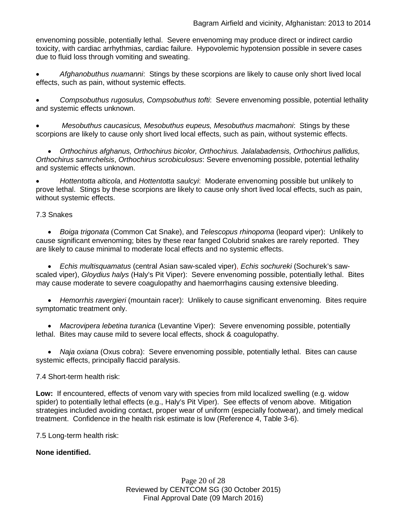envenoming possible, potentially lethal. Severe envenoming may produce direct or indirect cardio toxicity, with cardiac arrhythmias, cardiac failure. Hypovolemic hypotension possible in severe cases due to fluid loss through vomiting and sweating.

• *Afghanobuthus nuamanni*: Stings by these scorpions are likely to cause only short lived local effects, such as pain, without systemic effects.

• *Compsobuthus rugosulus, Compsobuthus tofti*: Severe envenoming possible, potential lethality and systemic effects unknown.

• *Mesobuthus caucasicus, Mesobuthus eupeus, Mesobuthus macmahoni*: Stings by these scorpions are likely to cause only short lived local effects, such as pain, without systemic effects.

• *Orthochirus afghanus, Orthochirus bicolor, Orthochirus. Jalalabadensis, Orthochirus pallidus, Orthochirus samrchelsis*, *Orthochirus scrobiculosus*: Severe envenoming possible, potential lethality and systemic effects unknown.

• *Hottentotta alticola*, and *Hottentotta saulcyi*: Moderate envenoming possible but unlikely to prove lethal. Stings by these scorpions are likely to cause only short lived local effects, such as pain, without systemic effects.

## 7.3 Snakes

• *[Boiga](http://www.toxinology.com/fusebox.cfm?fuseaction=main.snakes.display&id=SN0722) [trigonata](http://www.toxinology.com/fusebox.cfm?fuseaction=main.snakes.display&id=SN0722)* (Common Cat Snake), and *Telescopus rhinopoma* (leopard viper): Unlikely to cause significant envenoming; bites by these rear fanged Colubrid snakes are rarely reported. They are likely to cause minimal to moderate local effects and no systemic effects.

• *Echis multisquamatus* (central Asian saw-scaled viper), *Echis sochureki* (Sochurek's sawscaled viper), *Gloydius halys* (Haly's Pit Viper): Severe envenoming possible, potentially lethal. Bites may cause moderate to severe coagulopathy and haemorrhagins causing extensive bleeding.

• *Hemorrhis ravergieri* (mountain racer): Unlikely to cause significant envenoming. Bites require symptomatic treatment only.

• *Macrovipera lebetina turanica* (Levantine Viper): Severe envenoming possible, potentially lethal. Bites may cause mild to severe local effects, shock & coagulopathy.

• *Naja oxiana* (Oxus cobra): Severe envenoming possible, potentially lethal. Bites can cause systemic effects, principally flaccid paralysis.

## 7.4 Short-term health risk:

**Low:** If encountered, effects of venom vary with species from mild localized swelling (e.g. widow spider) to potentially lethal effects (e.g., Haly's Pit Viper). See effects of venom above. Mitigation strategies included avoiding contact, proper wear of uniform (especially footwear), and timely medical treatment. Confidence in the health risk estimate is low (Reference 4, Table 3-6).

7.5 Long-term health risk:

**None identified.**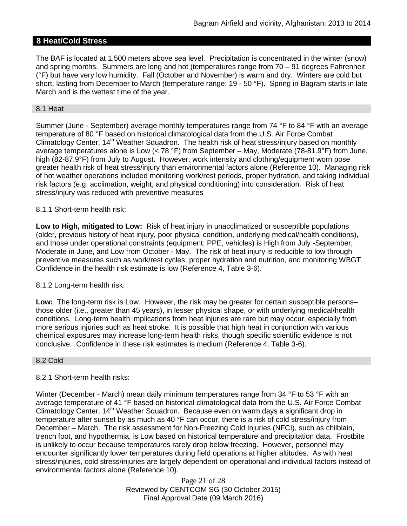# **8 Heat/Cold Stress**

The BAF is located at 1,500 meters above sea level. Precipitation is concentrated in the winter (snow) and spring months. Summers are long and hot (temperatures range from 70 – 91 degrees Fahrenheit (°F) but have very low humidity. Fall (October and November) is warm and dry. Winters are cold but short, lasting from December to March (temperature range: 19 - 50 °F). Spring in Bagram starts in late March and is the wettest time of the year.

#### 8.1 Heat

Summer (June - September) average monthly temperatures range from 74 °F to 84 °F with an average temperature of 80 °F based on historical climatological data from the U.S. Air Force Combat Climatology Center, 14<sup>th</sup> Weather Squadron. The health risk of heat stress/injury based on monthly average temperatures alone is Low  $(< 78 °F)$  from September – May, Moderate (78-81.9°F) from June, high (82-87.9°F) from July to August. However, work intensity and clothing/equipment worn pose greater health risk of heat stress/injury than environmental factors alone (Reference 10). Managing risk of hot weather operations included monitoring work/rest periods, proper hydration, and taking individual risk factors (e.g. acclimation, weight, and physical conditioning) into consideration. Risk of heat stress/injury was reduced with preventive measures

#### 8.1.1 Short-term health risk:

**Low to High, mitigated to Low:** Risk of heat injury in unacclimatized or susceptible populations (older, previous history of heat injury, poor physical condition, underlying medical/health conditions), and those under operational constraints (equipment, PPE, vehicles) is High from July -September, Moderate in June, and Low from October - May. The risk of heat injury is reducible to low through preventive measures such as work/rest cycles, proper hydration and nutrition, and monitoring WBGT. Confidence in the health risk estimate is low (Reference 4, Table 3-6).

#### 8.1.2 Long-term health risk:

**Low:** The long-term risk is Low. However, the risk may be greater for certain susceptible persons– those older (i.e., greater than 45 years), in lesser physical shape, or with underlying medical/health conditions. Long-term health implications from heat injuries are rare but may occur, especially from more serious injuries such as heat stroke. It is possible that high heat in conjunction with various chemical exposures may increase long-term health risks, though specific scientific evidence is not conclusive. Confidence in these risk estimates is medium (Reference 4, Table 3-6).

#### 8.2 Cold

#### 8.2.1 Short-term health risks:

Winter (December - March) mean daily minimum temperatures range from 34 °F to 53 °F with an average temperature of 41 °F based on historical climatological data from the U.S. Air Force Combat Climatology Center, 14<sup>th</sup> Weather Squadron. Because even on warm days a significant drop in temperature after sunset by as much as 40 °F can occur, there is a risk of cold stress/injury from December – March. The risk assessment for Non-Freezing Cold Injuries (NFCI), such as chilblain, trench foot, and hypothermia, is Low based on historical temperature and precipitation data. Frostbite is unlikely to occur because temperatures rarely drop below freezing. However, personnel may encounter significantly lower temperatures during field operations at higher altitudes. As with heat stress/injuries, cold stress/injuries are largely dependent on operational and individual factors instead of environmental factors alone (Reference 10).

> Page 21 of 28 Reviewed by CENTCOM SG (30 October 2015) Final Approval Date (09 March 2016)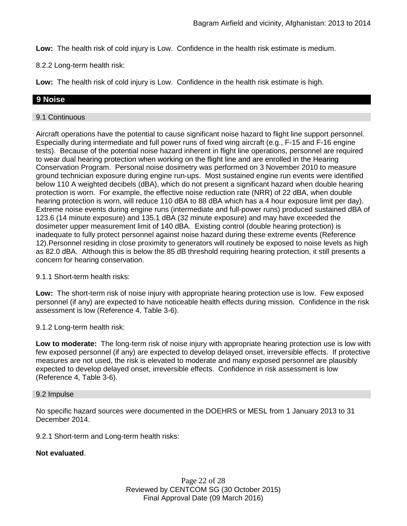**Low:** The health risk of cold injury is Low. Confidence in the health risk estimate is medium.

8.2.2 Long-term health risk:

**Low:** The health risk of cold injury is Low. Confidence in the health risk estimate is high.

### **9 Noise**

#### 9.1 Continuous

Aircraft operations have the potential to cause significant noise hazard to flight line support personnel. Especially during intermediate and full power runs of fixed wing aircraft (e.g., F-15 and F-16 engine tests). Because of the potential noise hazard inherent in flight line operations, personnel are required to wear dual hearing protection when working on the flight line and are enrolled in the Hearing Conservation Program. Personal noise dosimetry was performed on 3 November 2010 to measure ground technician exposure during engine run-ups. Most sustained engine run events were identified below 110 A weighted decibels (dBA), which do not present a significant hazard when double hearing protection is worn. For example, the effective noise reduction rate (NRR) of 22 dBA, when double hearing protection is worn, will reduce 110 dBA to 88 dBA which has a 4 hour exposure limit per day). Extreme noise events during engine runs (intermediate and full-power runs) produced sustained dBA of 123.6 (14 minute exposure) and 135.1 dBA (32 minute exposure) and may have exceeded the dosimeter upper measurement limit of 140 dBA. Existing control (double hearing protection) is inadequate to fully protect personnel against noise hazard during these extreme events (Reference 12).Personnel residing in close proximity to generators will routinely be exposed to noise levels as high as 82.0 dBA. Although this is below the 85 dB threshold requiring hearing protection, it still presents a concern for hearing conservation.

#### 9.1.1 Short-term health risks:

**Low:** The short-term risk of noise injury with appropriate hearing protection use is low. Few exposed personnel (if any) are expected to have noticeable health effects during mission. Confidence in the risk assessment is low (Reference 4, Table 3-6).

9.1.2 Long-term health risk:

**Low to moderate:** The long-term risk of noise injury with appropriate hearing protection use is low with few exposed personnel (if any) are expected to develop delayed onset, irreversible effects. If protective measures are not used, the risk is elevated to moderate and many exposed personnel are plausibly expected to develop delayed onset, irreversible effects. Confidence in risk assessment is low (Reference 4, Table 3-6).

#### 9.2 Impulse

No specific hazard sources were documented in the DOEHRS or MESL from 1 January 2013 to 31 December 2014.

9.2.1 Short-term and Long-term health risks:

### **Not evaluated**.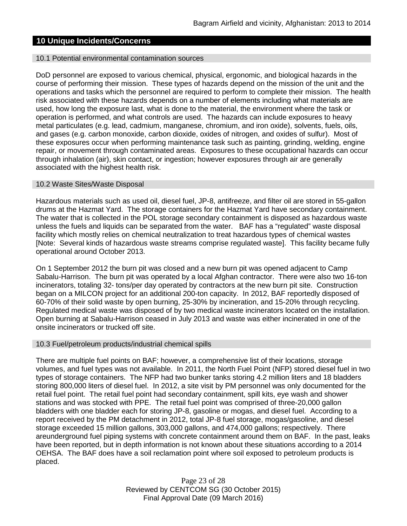# **10 Unique Incidents/Concerns**

#### 10.1 Potential environmental contamination sources

DoD personnel are exposed to various chemical, physical, ergonomic, and biological hazards in the course of performing their mission. These types of hazards depend on the mission of the unit and the operations and tasks which the personnel are required to perform to complete their mission. The health risk associated with these hazards depends on a number of elements including what materials are used, how long the exposure last, what is done to the material, the environment where the task or operation is performed, and what controls are used. The hazards can include exposures to heavy metal particulates (e.g. lead, cadmium, manganese, chromium, and iron oxide), solvents, fuels, oils, and gases (e.g. carbon monoxide, carbon dioxide, oxides of nitrogen, and oxides of sulfur). Most of these exposures occur when performing maintenance task such as painting, grinding, welding, engine repair, or movement through contaminated areas. Exposures to these occupational hazards can occur through inhalation (air), skin contact, or ingestion; however exposures through air are generally associated with the highest health risk.

#### 10.2 Waste Sites/Waste Disposal

Hazardous materials such as used oil, diesel fuel, JP-8, antifreeze, and filter oil are stored in 55-gallon drums at the Hazmat Yard. The storage containers for the Hazmat Yard have secondary containment. The water that is collected in the POL storage secondary containment is disposed as hazardous waste unless the fuels and liquids can be separated from the water. BAF has a "regulated" waste disposal facility which mostly relies on chemical neutralization to treat hazardous types of chemical wastes [Note: Several kinds of hazardous waste streams comprise regulated waste]. This facility became fully operational around October 2013.

On 1 September 2012 the burn pit was closed and a new burn pit was opened adjacent to Camp Sabalu-Harrison. The burn pit was operated by a local Afghan contractor. There were also two 16-ton incinerators, totaling 32- tons/per day operated by contractors at the new burn pit site. Construction began on a MILCON project for an additional 200-ton capacity. In 2012, BAF reportedly disposed of 60-70% of their solid waste by open burning, 25-30% by incineration, and 15-20% through recycling. Regulated medical waste was disposed of by two medical waste incinerators located on the installation. Open burning at Sabalu-Harrison ceased in July 2013 and waste was either incinerated in one of the onsite incinerators or trucked off site.

#### 10.3 Fuel/petroleum products/industrial chemical spills

There are multiple fuel points on BAF; however, a comprehensive list of their locations, storage volumes, and fuel types was not available. In 2011, the North Fuel Point (NFP) stored diesel fuel in two types of storage containers. The NFP had two bunker tanks storing 4.2 million liters and 18 bladders storing 800,000 liters of diesel fuel. In 2012, a site visit by PM personnel was only documented for the retail fuel point. The retail fuel point had secondary containment, spill kits, eye wash and shower stations and was stocked with PPE. The retail fuel point was comprised of three-20,000 gallon bladders with one bladder each for storing JP-8, gasoline or mogas, and diesel fuel. According to a report received by the PM detachment in 2012, total JP-8 fuel storage, mogas/gasoline, and diesel storage exceeded 15 million gallons, 303,000 gallons, and 474,000 gallons; respectively. There areunderground fuel piping systems with concrete containment around them on BAF. In the past, leaks have been reported, but in depth information is not known about these situations according to a 2014 OEHSA. The BAF does have a soil reclamation point where soil exposed to petroleum products is placed.

> Page 23 of 28 Reviewed by CENTCOM SG (30 October 2015) Final Approval Date (09 March 2016)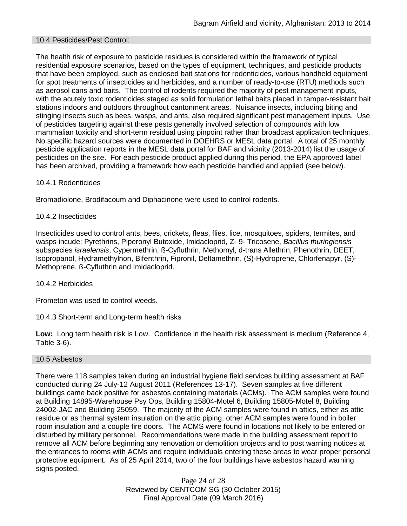### 10.4 Pesticides/Pest Control:

The health risk of exposure to pesticide residues is considered within the framework of typical residential exposure scenarios, based on the types of equipment, techniques, and pesticide products that have been employed, such as enclosed bait stations for rodenticides, various handheld equipment for spot treatments of insecticides and herbicides, and a number of ready-to-use (RTU) methods such as aerosol cans and baits. The control of rodents required the majority of pest management inputs, with the acutely toxic rodenticides staged as solid formulation lethal baits placed in tamper-resistant bait stations indoors and outdoors throughout cantonment areas. Nuisance insects, including biting and stinging insects such as bees, wasps, and ants, also required significant pest management inputs. Use of pesticides targeting against these pests generally involved selection of compounds with low mammalian toxicity and short-term residual using pinpoint rather than broadcast application techniques. No specific hazard sources were documented in DOEHRS or MESL data portal. A total of 25 monthly pesticide application reports in the MESL data portal for BAF and vicinity (2013-2014) list the usage of pesticides on the site. For each pesticide product applied during this period, the EPA approved label has been archived, providing a framework how each pesticide handled and applied (see below).

### 10.4.1 Rodenticides

Bromadiolone, Brodifacoum and Diphacinone were used to control rodents.

### 10.4.2 Insecticides

Insecticides used to control ants, bees, crickets, fleas, flies, lice, mosquitoes, spiders, termites, and wasps incude: Pyrethrins, Piperonyl Butoxide, Imidacloprid, Z- 9- Tricosene, *Bacillus thuringiensis* subspecies *israelensis*, Cypermethrin, ß-Cyfluthrin, Methomyl, d-trans Allethrin, Phenothrin, DEET, Isopropanol, Hydramethylnon, Bifenthrin, Fipronil, Deltamethrin, (S)-Hydroprene, Chlorfenapyr, (S)- Methoprene, ß-Cyfluthrin and Imidacloprid.

#### 10.4.2 Herbicides

Prometon was used to control weeds.

## 10.4.3 Short-term and Long-term health risks

**Low:** Long term health risk is Low. Confidence in the health risk assessment is medium (Reference 4, Table 3-6).

#### 10.5 Asbestos

There were 118 samples taken during an industrial hygiene field services building assessment at BAF conducted during 24 July-12 August 2011 (References 13-17). Seven samples at five different buildings came back positive for asbestos containing materials (ACMs). The ACM samples were found at Building 14895-Warehouse Psy Ops, Building 15804-Motel 6, Building 15805-Motel 8, Building 24002-JAC and Building 25059. The majority of the ACM samples were found in attics, either as attic residue or as thermal system insulation on the attic piping, other ACM samples were found in boiler room insulation and a couple fire doors. The ACMS were found in locations not likely to be entered or disturbed by military personnel. Recommendations were made in the building assessment report to remove all ACM before beginning any renovation or demolition projects and to post warning notices at the entrances to rooms with ACMs and require individuals entering these areas to wear proper personal protective equipment. As of 25 April 2014, two of the four buildings have asbestos hazard warning signs posted.

> Page 24 of 28 Reviewed by CENTCOM SG (30 October 2015) Final Approval Date (09 March 2016)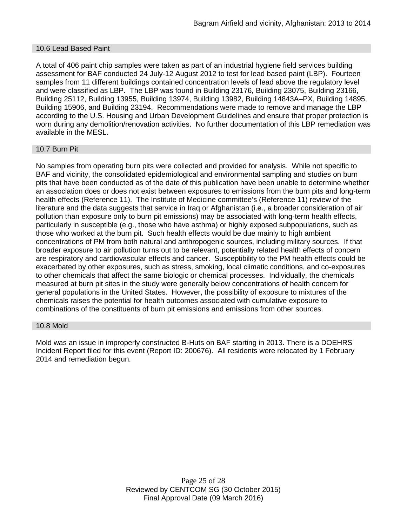#### 10.6 Lead Based Paint

A total of 406 paint chip samples were taken as part of an industrial hygiene field services building assessment for BAF conducted 24 July-12 August 2012 to test for lead based paint (LBP). Fourteen samples from 11 different buildings contained concentration levels of lead above the regulatory level and were classified as LBP. The LBP was found in Building 23176, Building 23075, Building 23166, Building 25112, Building 13955, Building 13974, Building 13982, Building 14843A–PX, Building 14895, Building 15906, and Building 23194. Recommendations were made to remove and manage the LBP according to the U.S. Housing and Urban Development Guidelines and ensure that proper protection is worn during any demolition/renovation activities. No further documentation of this LBP remediation was available in the MESL.

#### 10.7 Burn Pit

No samples from operating burn pits were collected and provided for analysis. While not specific to BAF and vicinity, the consolidated epidemiological and environmental sampling and studies on burn pits that have been conducted as of the date of this publication have been unable to determine whether an association does or does not exist between exposures to emissions from the burn pits and long-term health effects (Reference 11). The Institute of Medicine committee's (Reference 11) review of the literature and the data suggests that service in Iraq or Afghanistan (i.e., a broader consideration of air pollution than exposure only to burn pit emissions) may be associated with long-term health effects, particularly in susceptible (e.g., those who have asthma) or highly exposed subpopulations, such as those who worked at the burn pit. Such health effects would be due mainly to high ambient concentrations of PM from both natural and anthropogenic sources, including military sources. If that broader exposure to air pollution turns out to be relevant, potentially related health effects of concern are respiratory and cardiovascular effects and cancer. Susceptibility to the PM health effects could be exacerbated by other exposures, such as stress, smoking, local climatic conditions, and co-exposures to other chemicals that affect the same biologic or chemical processes. Individually, the chemicals measured at burn pit sites in the study were generally below concentrations of health concern for general populations in the United States. However, the possibility of exposure to mixtures of the chemicals raises the potential for health outcomes associated with cumulative exposure to combinations of the constituents of burn pit emissions and emissions from other sources.

#### 10.8 Mold

Mold was an issue in improperly constructed B-Huts on BAF starting in 2013. There is a DOEHRS Incident Report filed for this event (Report ID: 200676). All residents were relocated by 1 February 2014 and remediation begun.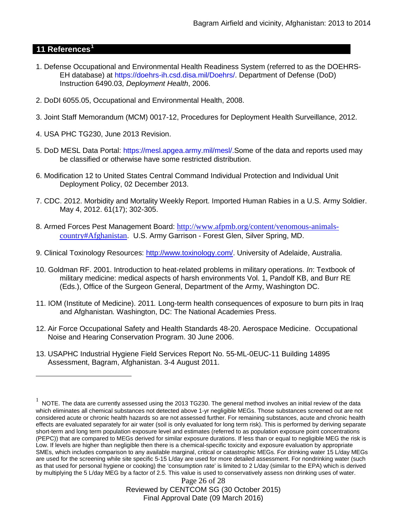# **11 References[1](#page-25-0)**

 $\overline{a}$ 

- 1. Defense Occupational and Environmental Health Readiness System (referred to as the DOEHRS-EH database) at https://doehrs-ih.csd.disa.mil/Doehrs/. Department of Defense (DoD) Instruction 6490.03, *Deployment Health*, 2006.
- 2. DoDI 6055.05, Occupational and Environmental Health, 2008.
- 3. Joint Staff Memorandum (MCM) 0017-12, Procedures for Deployment Health Surveillance, 2012.
- 4. USA PHC TG230, June 2013 Revision.
- 5. DoD MESL Data Portal: https://mesl.apgea.army.mil/mesl/.Some of the data and reports used may be classified or otherwise have some restricted distribution.
- 6. Modification 12 to United States Central Command Individual Protection and Individual Unit Deployment Policy, 02 December 2013.
- 7. CDC. 2012. Morbidity and Mortality Weekly Report. Imported Human Rabies in a U.S. Army Soldier. May 4, 2012. 61(17); 302-305.
- 8. Armed Forces Pest Management Board: [http://www.afpmb.org/content/venomous-animals](http://www.afpmb.org/content/venomous-animals-country#Afghanistan)[country#Afghanistan](http://www.afpmb.org/content/venomous-animals-country#Afghanistan). U.S. Army Garrison - Forest Glen, Silver Spring, MD.
- 9. Clinical Toxinology Resources: [http://www.toxinology.com/.](http://www.toxinology.com/) University of Adelaide, Australia.
- 10. Goldman RF. 2001. Introduction to heat-related problems in military operations. *In*: Textbook of military medicine: medical aspects of harsh environments Vol. 1, Pandolf KB, and Burr RE (Eds.), Office of the Surgeon General, Department of the Army, Washington DC.
- 11. IOM (Institute of Medicine). 2011*.* Long-term health consequences of exposure to burn pits in Iraq and Afghanistan*.* Washington, DC: The National Academies Press.
- 12. Air Force Occupational Safety and Health Standards 48-20. Aerospace Medicine. Occupational Noise and Hearing Conservation Program. 30 June 2006.
- 13. USAPHC Industrial Hygiene Field Services Report No. 55-ML-0EUC-11 Building 14895 Assessment, Bagram, Afghanistan. 3-4 August 2011.

<span id="page-25-0"></span> $1$  NOTE. The data are currently assessed using the 2013 TG230. The general method involves an initial review of the data which eliminates all chemical substances not detected above 1-yr negligible MEGs. Those substances screened out are not considered acute or chronic health hazards so are not assessed further. For remaining substances, acute and chronic health effects are evaluated separately for air water (soil is only evaluated for long term risk). This is performed by deriving separate short-term and long term population exposure level and estimates (referred to as population exposure point concentrations (PEPC)) that are compared to MEGs derived for similar exposure durations. If less than or equal to negligible MEG the risk is Low. If levels are higher than negligible then there is a chemical-specific toxicity and exposure evaluation by appropriate SMEs, which includes comparison to any available marginal, critical or catastrophic MEGs. For drinking water 15 L/day MEGs are used for the screening while site specific 5-15 L/day are used for more detailed assessment. For nondrinking water (such as that used for personal hygiene or cooking) the 'consumption rate' is limited to 2 L/day (similar to the EPA) which is derived by multiplying the 5 L/day MEG by a factor of 2.5. This value is used to conservatively assess non drinking uses of water.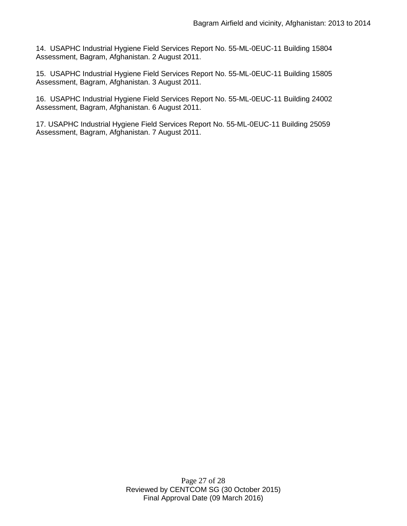14. USAPHC Industrial Hygiene Field Services Report No. 55-ML-0EUC-11 Building 15804 Assessment, Bagram, Afghanistan. 2 August 2011.

15. USAPHC Industrial Hygiene Field Services Report No. 55-ML-0EUC-11 Building 15805 Assessment, Bagram, Afghanistan. 3 August 2011.

16. USAPHC Industrial Hygiene Field Services Report No. 55-ML-0EUC-11 Building 24002 Assessment, Bagram, Afghanistan. 6 August 2011.

17. USAPHC Industrial Hygiene Field Services Report No. 55-ML-0EUC-11 Building 25059 Assessment, Bagram, Afghanistan. 7 August 2011.

> Page 27 of 28 Reviewed by CENTCOM SG (30 October 2015) Final Approval Date (09 March 2016)